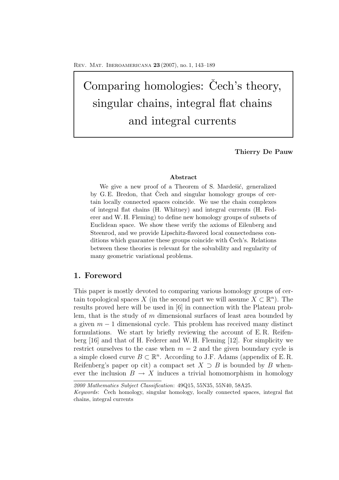Comparing homologies: Čech's theory, singular chains, integral flat chains and integral currents

**Thierry De Pauw**

#### **Abstract**

We give a new proof of a Theorem of S. Mardešić, generalized by G.E. Bredon, that Čech and singular homology groups of certain locally connected spaces coincide. We use the chain complexes of integral flat chains (H. Whitney) and integral currents (H. Federer and W. H. Fleming) to define new homology groups of subsets of Euclidean space. We show these verify the axioms of Eilenberg and Steenrod, and we provide Lipschitz-flavored local connectedness conditions which guarantee these groups coincide with Čech's. Relations between these theories is relevant for the solvability and regularity of many geometric variational problems.

## **1. Foreword**

This paper is mostly devoted to comparing various homology groups of certain topological spaces X (in the second part we will assume  $X \subset \mathbb{R}^n$ ). The results proved here will be used in [6] in connection with the Plateau problem, that is the study of  $m$  dimensional surfaces of least area bounded by a given  $m-1$  dimensional cycle. This problem has received many distinct formulations. We start by briefly reviewing the account of E. R. Reifenberg [16] and that of H. Federer and W. H. Fleming [12]. For simplicity we restrict ourselves to the case when  $m = 2$  and the given boundary cycle is a simple closed curve  $B \subset \mathbb{R}^n$ . According to J.F. Adams (appendix of E.R. Reifenberg's paper op cit) a compact set  $X \supset B$  is bounded by B whenever the inclusion  $B \to X$  induces a trivial homomorphism in homology

*<sup>2000</sup> Mathematics Subject Classification*: 49Q15, 55N35, 55N40, 58A25.

*Keywords*: Čech homology, singular homology, locally connected spaces, integral flat chains, integral currents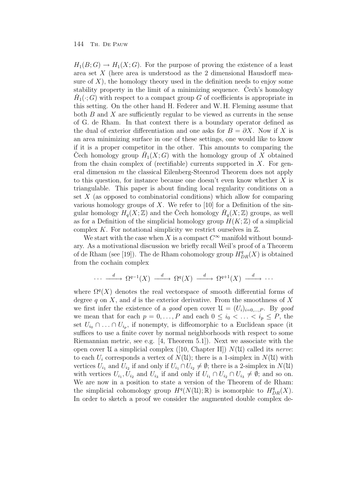$H_1(B; G) \to H_1(X; G)$ . For the purpose of proving the existence of a least area set X (here area is understood as the 2 dimensional Hausdorff measure of  $X$ ), the homology theory used in the definition needs to enjoy some stability property in the limit of a minimizing sequence. Cech's homology  $H_1(\cdot; G)$  with respect to a compact group G of coefficients is appropriate in this setting. On the other hand H. Federer and W. H. Fleming assume that both  $B$  and  $X$  are sufficiently regular to be viewed as currents in the sense of G. de Rham. In that context there is a boundary operator defined as the dual of exterior differentiation and one asks for  $B = \partial X$ . Now if X is an area minimizing surface in one of these settings, one would like to know if it is a proper competitor in the other. This amounts to comparing the Cech homology group  $H_1(X;G)$  with the homology group of X obtained from the chain complex of (rectifiable) currents supported in  $X$ . For general dimension m the classical Eilenberg-Steenrod Theorem does not apply to this question, for instance because one doesn't even know whether X is triangulable. This paper is about finding local regularity conditions on a set  $X$  (as opposed to combinatorial conditions) which allow for comparing various homology groups of X. We refer to [10] for a Definition of the singular homology  $H_q(X;\mathbb{Z})$  and the Čech homology  $\check{H}_q(X;\mathbb{Z})$  groups, as well as for a Definition of the simplicial homology group  $H(K;\mathbb{Z})$  of a simplicial complex  $K$ . For notational simplicity we restrict ourselves in  $\mathbb{Z}$ .

We start with the case when X is a compact  $C^{\infty}$  manifold without boundary. As a motivational discussion we briefly recall Weil's proof of a Theorem of de Rham (see [19]). The de Rham cohomology group  $H_{DR}^q(X)$  is obtained from the cochain complex

$$
\cdots \xrightarrow{d} \Omega^{q-1}(X) \xrightarrow{d} \Omega^q(X) \xrightarrow{d} \Omega^{q+1}(X) \xrightarrow{d} \cdots
$$

where  $\Omega^{q}(X)$  denotes the real vectorspace of smooth differential forms of degree q on X, and d is the exterior derivative. From the smoothness of X we first infer the existence of a good open cover  $\mathcal{U} = (U_i)_{i=0,\dots,P}$ . By good we mean that for each  $p = 0, \ldots, P$  and each  $0 \leq i_0 < \ldots < i_p \leq P$ , the set  $U_{i_0} \cap \ldots \cap U_{i_p}$ , if nonempty, is diffeomorphic to a Euclidean space (it suffices to use a finite cover by normal neighborhoods with respect to some Riemannian metric, see e.g. [4, Theorem 5.1]). Next we associate with the open cover  $\mathcal U$  a simplicial complex ([10, Chapter II])  $N(\mathcal U)$  called its nerve: to each  $U_i$  corresponds a vertex of  $N(\mathfrak{U})$ ; there is a 1-simplex in  $N(\mathfrak{U})$  with vertices  $U_{i_1}$  and  $U_{i_2}$  if and only if  $U_{i_1} \cap U_{i_2} \neq \emptyset$ ; there is a 2-simplex in  $N(\mathfrak{U})$ with vertices  $U_{i_1}, U_{i_2}$  and  $U_{i_3}$  if and only if  $U_{i_1} \cap U_{i_2} \cap U_{i_3} \neq \emptyset$ ; and so on. We are now in a position to state a version of the Theorem of de Rham: the simplicial cohomology group  $H^q(N(\mathfrak{U}); \mathbb{R})$  is isomorphic to  $H^q_{DR}(X)$ . In order to sketch a proof we consider the augmented double complex de-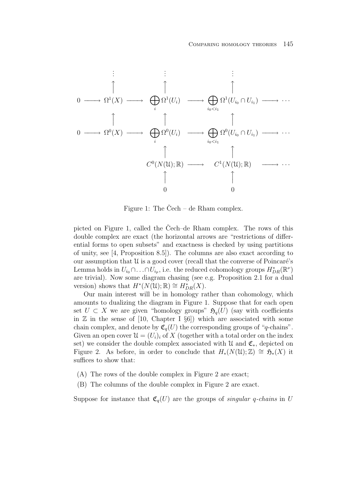

Figure 1: The Čech – de Rham complex.

picted on Figure 1, called the Čech–de Rham complex. The rows of this double complex are exact (the horizontal arrows are "restrictions of differential forms to open subsets" and exactness is checked by using partitions of unity, see [4, Proposition 8.5]). The columns are also exact according to our assumption that  $\mathfrak U$  is a good cover (recall that the converse of Poincaré's Lemma holds in  $U_{i_0} \cap \ldots \cap U_{i_p}$ , i.e. the reduced cohomology groups  $H^*_{DR}(\mathbb{R}^\nu)$ are trivial). Now some diagram chasing (see e.g. Proposition 2.1 for a dual version) shows that  $H^*(N(\mathfrak{U}); \mathbb{R}) \cong H^*_{DR}(X)$ .

Our main interest will be in homology rather than cohomology, which amounts to dualizing the diagram in Figure 1. Suppose that for each open set  $U \subset X$  we are given "homology groups"  $\mathfrak{H}_q(U)$  (say with coefficients in  $\mathbb Z$  in the sense of [10, Chapter I  $\S6$ ]) which are associated with some chain complex, and denote by  $\mathfrak{C}_q(U)$  the corresponding groups of "q-chains". Given an open cover  $\mathcal{U} = (U_i)_i$  of X (together with a total order on the index set) we consider the double complex associated with  $\mathcal{U}$  and  $\mathfrak{C}_*$ , depicted on Figure 2. As before, in order to conclude that  $H_*(N(\mathfrak{U}); \mathbb{Z}) \cong \mathfrak{H}_*(X)$  it suffices to show that:

- (A) The rows of the double complex in Figure 2 are exact;
- (B) The columns of the double complex in Figure 2 are exact.

Suppose for instance that  $\mathfrak{C}_q(U)$  are the groups of *singular q-chains* in U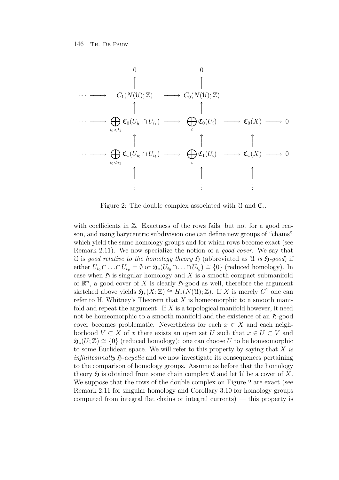

Figure 2: The double complex associated with  $\mathfrak{U}$  and  $\mathfrak{C}_{*}$ .

with coefficients in  $\mathbb{Z}$ . Exactness of the rows fails, but not for a good reason, and using barycentric subdivision one can define new groups of "chains" which yield the same homology groups and for which rows become exact (see Remark 2.11). We now specialize the notion of a good cover. We say that U is good relative to the homology theory  $\mathfrak H$  (abbreviated as U is  $\mathfrak H$ -good) if either  $U_{i_0} \cap \ldots \cap U_{i_p} = \emptyset$  or  $\mathfrak{H}_*(U_{i_0} \cap \ldots \cap U_{i_p}) \cong \{0\}$  (reduced homology). In case when  $\mathfrak H$  is singular homology and X is a smooth compact submanifold of  $\mathbb{R}^n$ , a good cover of X is clearly  $\mathfrak{H}\text{-good}$  as well, therefore the argument sketched above yields  $\mathfrak{H}_*(X;\mathbb{Z}) \cong H_*(N(\mathfrak{U});\mathbb{Z})$ . If X is merely  $C^1$  one can refer to H. Whitney's Theorem that  $X$  is homeomorphic to a smooth manifold and repeat the argument. If  $X$  is a topological manifold however, it need not be homeomorphic to a smooth manifold and the existence of an  $\mathfrak{H}\text{-good}$ cover becomes problematic. Nevertheless for each  $x \in X$  and each neighborhood  $V \subset X$  of x there exists an open set U such that  $x \in U \subset V$  and  $\mathfrak{H}_{*}(U;\mathbb{Z}) \cong \{0\}$  (reduced homology): one can choose U to be homeomorphic to some Euclidean space. We will refer to this property by saying that  $X$  is infinitesimally  $\mathfrak{H}$ -acyclic and we now investigate its consequences pertaining to the comparison of homology groups. Assume as before that the homology theory  $\mathfrak H$  is obtained from some chain complex  $\mathfrak C$  and let  $\mathfrak U$  be a cover of X. We suppose that the rows of the double complex on Figure 2 are exact (see Remark 2.11 for singular homology and Corollary 3.10 for homology groups computed from integral flat chains or integral currents) — this property is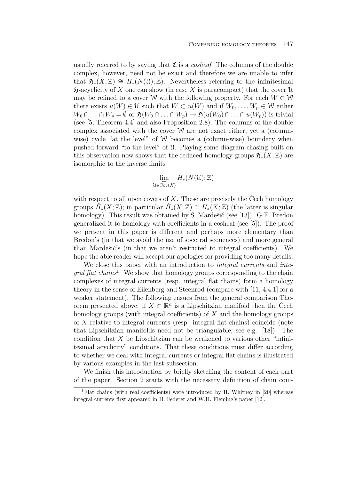usually referred to by saying that  $\mathfrak C$  is a *cosheaf*. The columns of the double complex, however, need not be exact and therefore we are unable to infer that  $\mathfrak{H}_*(X;\mathbb{Z}) \cong H_*(N(\mathfrak{U});\mathbb{Z})$ . Nevertheless referring to the infinitesimal  $\mathfrak{H}$ -acyclicity of X one can show (in case X is paracompact) that the cover U may be refined to a cover W with the following property. For each  $W \in W$ there exists  $u(W) \in \mathcal{U}$  such that  $W \subset u(W)$  and if  $W_0, \ldots, W_p \in \mathcal{W}$  either  $W_0 \cap \ldots \cap W_p = \emptyset$  or  $\mathfrak{H}(W_0 \cap \ldots \cap W_p) \to \mathfrak{H}(u(W_0) \cap \ldots \cap u(W_p))$  is trivial (see [5, Theorem 4.4] and also Proposition 2.8). The columns of the double complex associated with the cover  $W$  are not exact either, yet a (columnwise) cycle "at the level" of  $W$  becomes a (column-wise) boundary when pushed forward "to the level" of U. Playing some diagram chasing built on this observation now shows that the reduced homology groups  $\mathfrak{H}_{*}(X;\mathbb{Z})$  are isomorphic to the inverse limits

$$
\lim_{\substack{\leftarrow \\ u \in \text{Cov}(X)}} H_*(N(\mathfrak{U}); \mathbb{Z})
$$

with respect to all open covers of X. These are precisely the Čech homology groups  $H_*(X;\mathbb{Z})$ ; in particular  $H_*(X;\mathbb{Z}) \cong H_*(X;\mathbb{Z})$  (the latter is singular homology). This result was obtained by S. Mardešić (see [13]). G.E. Bredon generalized it to homology with coefficients in a cosheaf (see [5]). The proof we present in this paper is different and perhaps more elementary than Bredon's (in that we avoid the use of spectral sequences) and more general than Mardešić's (in that we aren't restricted to integral coefficients). We hope the able reader will accept our apologies for providing too many details.

We close this paper with an introduction to *integral currents* and *inte*qral flat chains<sup>1</sup>. We show that homology groups corresponding to the chain complexes of integral currents (resp. integral flat chains) form a homology theory in the sense of Eilenberg and Steenrod (compare with [11, 4.4.1] for a weaker statement). The following ensues from the general comparison Theorem presented above: if  $X \subset \mathbb{R}^n$  is a Lipschitzian manifold then the Čech homology groups (with integral coefficients) of  $X$  and the homology groups of X relative to integral currents (resp. integral flat chains) coincide (note that Lipschitzian manifolds need not be triangulable, see e.g. [18]). The condition that X be Lipschitzian can be weakened to various other "infinitesimal acyclicity" conditions. That these conditions must differ according to whether we deal with integral currents or integral flat chains is illustrated by various examples in the last subsection.

We finish this introduction by briefly sketching the content of each part of the paper. Section 2 starts with the necessary definition of chain com-

<sup>1</sup>Flat chains (with real coefficients) were introduced by H. Whitney in [20] whereas integral currents first appeared in H. Federer and W.H. Fleming's paper [12].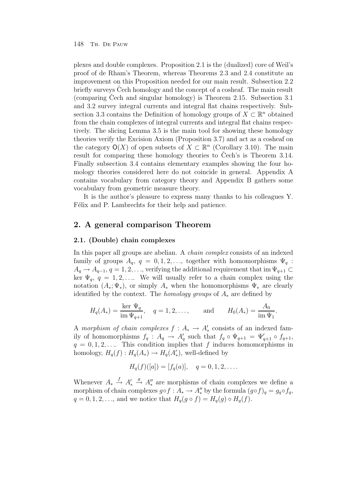plexes and double complexes. Proposition 2.1 is the (dualized) core of Weil's proof of de Rham's Theorem, whereas Theorems 2.3 and 2.4 constitute an improvement on this Proposition needed for our main result. Subsection 2.2 briefly surveys Cech homology and the concept of a cosheaf. The main result (comparing Cech and singular homology) is Theorem 2.15. Subsection  $3.1$ and 3.2 survey integral currents and integral flat chains respectively. Subsection 3.3 contains the Definition of homology groups of  $X \subset \mathbb{R}^n$  obtained from the chain complexes of integral currents and integral flat chains respectively. The slicing Lemma 3.5 is the main tool for showing these homology theories verify the Excision Axiom (Proposition 3.7) and act as a cosheaf on the category  $O(X)$  of open subsets of  $X \subset \mathbb{R}^n$  (Corollary 3.10). The main result for comparing these homology theories to Čech's is Theorem 3.14. Finally subsection 3.4 contains elementary examples showing the four homology theories considered here do not coincide in general. Appendix A contains vocabulary from category theory and Appendix B gathers some vocabulary from geometric measure theory.

It is the author's pleasure to express many thanks to his colleagues Y. Félix and P. Lambrechts for their help and patience.

# **2. A general comparison Theorem**

## **2.1. (Double) chain complexes**

In this paper all groups are abelian. A chain complex consists of an indexed family of groups  $A_q$ ,  $q = 0, 1, 2, \ldots$ , together with homomorphisms  $\Psi_q$ :  $A_q \to A_{q-1}, q = 1, 2, \ldots$ , verifying the additional requirement that im  $\Psi_{q+1} \subset$ ker  $\Psi_q$ ,  $q = 1, 2, \ldots$  We will usually refer to a chain complex using the notation  $(A_*; \Psi_*)$ , or simply  $A_*$  when the homomorphisms  $\Psi_*$  are clearly identified by the context. The homology groups of  $A_*$  are defined by

$$
H_q(A_*) = \frac{\ker \Psi_q}{\text{im } \Psi_{q+1}}, \quad q = 1, 2, ..., \quad \text{and} \quad H_0(A_*) = \frac{A_0}{\text{im } \Psi_1}.
$$

A morphism of chain complexes  $f: A_* \to A'_*$  consists of an indexed family of homomorphisms  $f_q: A_q \to A'_q$  such that  $f_q \circ \Psi_{q+1} = \Psi'_{q+1} \circ f_{q+1}$ ,  $q = 0, 1, 2, \ldots$  This condition implies that f induces homomorphisms in homology,  $H_q(f) : H_q(A_*) \to H_q(A_*')$ , well-defined by

$$
H_q(f)([a]) = [f_q(a)], \quad q = 0, 1, 2, \dots
$$

Whenever  $A_* \stackrel{f}{\rightarrow} A'_*$  $\stackrel{g}{\rightarrow}$  A'' are morphisms of chain complexes we define a morphism of chain complexes  $g \circ f : A_* \to A''_*$  by the formula  $(g \circ f)_q = g_q \circ f_q$ ,  $q = 0, 1, 2, \ldots$ , and we notice that  $H_q(g \circ f) = H_q(g) \circ H_q(f)$ .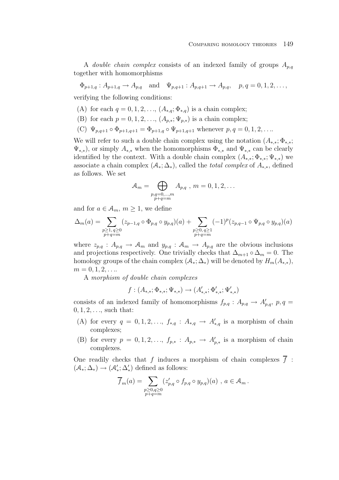A *double chain complex* consists of an indexed family of groups  $A_{p,q}$ together with homomorphisms

 $\Phi_{p+1,q}: A_{p+1,q} \to A_{p,q}$  and  $\Psi_{p,q+1}: A_{p,q+1} \to A_{p,q}$ ,  $p,q=0,1,2,\ldots$ 

verifying the following conditions:

- (A) for each  $q = 0, 1, 2, ..., (A_{*,q}; \Phi_{*,q})$  is a chain complex;
- (B) for each  $p = 0, 1, 2, \ldots, (A_{p,*}; \Psi_{p,*})$  is a chain complex;
- (C)  $\Psi_{p,q+1} \circ \Phi_{p+1,q+1} = \Phi_{p+1,q} \circ \Psi_{p+1,q+1}$  whenever  $p,q=0,1,2,...$

We will refer to such a double chain complex using the notation  $(A_{*,*}; \Phi_{*,*};$  $\Psi_{*,*}$ , or simply  $A_{*,*}$  when the homomorphisms  $\Phi_{*,*}$  and  $\Psi_{*,*}$  can be clearly identified by the context. With a double chain complex  $(A_{*,*}; \Phi_{*,*}; \Psi_{*,*})$  we associate a chain complex  $(\mathcal{A}_*, \Delta_*)$ , called the *total complex* of  $A_{*,*}$ , defined as follows. We set

$$
\mathcal{A}_m = \bigoplus_{\substack{p,q=0,\dots,m\\p+q=m}} A_{p,q} , \ m = 0, 1, 2, \dots
$$

and for  $a \in \mathcal{A}_m$ ,  $m \geq 1$ , we define

$$
\Delta_m(a) = \sum_{\substack{p \geq 1, q \geq 0 \\ p+q = m}} (z_{p-1,q} \circ \Phi_{p,q} \circ y_{p,q})(a) + \sum_{\substack{p \geq 0, q \geq 1 \\ p+q = m}} (-1)^p (z_{p,q-1} \circ \Psi_{p,q} \circ y_{p,q})(a)
$$

where  $z_{p,q}: A_{p,q} \to \mathcal{A}_m$  and  $y_{p,q}: \mathcal{A}_m \to A_{p,q}$  are the obvious inclusions and projections respectively. One trivially checks that  $\Delta_{m+1} \circ \Delta_m = 0$ . The homology groups of the chain complex  $(A_*, \Delta_*)$  will be denoted by  $H_m(A_{*,*}),$  $m = 0, 1, 2, \ldots$ 

A morphism of double chain complexes

 $f: (A_{*,*}; \Phi_{*,*}; \Psi_{*,*}) \rightarrow (A'_{*,*}; \Phi'_{*,*}; \Psi'_{*,*})$ 

consists of an indexed family of homomorphisms  $f_{p,q}: A_{p,q} \to A'_{p,q}, p,q =$  $0, 1, 2, \ldots$ , such that:

- (A) for every  $q = 0, 1, 2, \ldots, f_{*,q} : A_{*,q} \to A'_{*,q}$  is a morphism of chain complexes;
- (B) for every  $p = 0, 1, 2, \ldots, f_{p,*} : A_{p,*} \to A'_{p,*}$  is a morphism of chain complexes.

One readily checks that f induces a morphism of chain complexes  $\overline{f}$  :  $(\mathcal{A}_*; \Delta_*) \rightarrow (\mathcal{A}'_*; \Delta'_*)$  defined as follows:

$$
\overline{f}_m(a) = \sum_{\substack{p \ge 0, q \ge 0 \\ p+q=m}} (z'_{p,q} \circ f_{p,q} \circ y_{p,q})(a) , a \in \mathcal{A}_m.
$$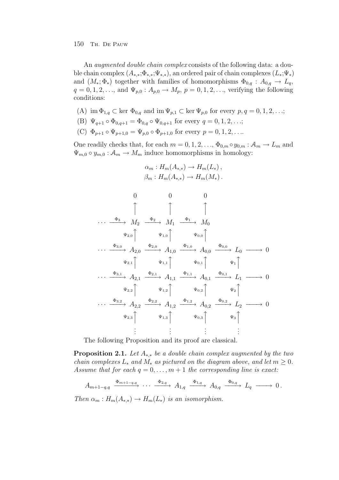An *augmented double chain complex* consists of the following data: a double chain complex  $(A_{*,*};\Phi_{*,*};\Psi_{*,*})$ , an ordered pair of chain complexes  $(L_*,\Psi_*)$ and  $(M_*,\Phi_*)$  together with families of homomorphisms  $\Phi_{0,q}: A_{0,q} \to L_q$ ,  $q = 0, 1, 2, \ldots$ , and  $\Psi_{p,0} : A_{p,0} \to M_p$ ,  $p = 0, 1, 2, \ldots$ , verifying the following conditions:

- (A) im  $\Phi_{1,q} \subset \text{ker } \Phi_{0,q}$  and im  $\Psi_{p,1} \subset \text{ker } \Psi_{p,0}$  for every  $p, q = 0, 1, 2, \ldots;$
- (B)  $\Psi_{q+1} \circ \Phi_{0,q+1} = \Phi_{0,q} \circ \Psi_{0,q+1}$  for every  $q = 0, 1, 2, ...;$
- (C)  $\Phi_{p+1} \circ \Psi_{p+1,0} = \Psi_{p,0} \circ \Phi_{p+1,0}$  for every  $p = 0, 1, 2, \ldots$

One readily checks that, for each  $m = 0, 1, 2, \ldots, \Phi_{0,m} \circ y_{0,m} : \mathcal{A}_m \to L_m$  and  $\Psi_{m,0} \circ y_{m,0} : A_m \to M_m$  induce homomorphisms in homology:

 $\alpha_m : H_m(A_{*,*}) \to H_m(L_*)$ ,

$$
\beta_{m}: H_{m}(A_{*,}) \to H_{m}(M_{*}).
$$
\n
$$
0 \qquad 0 \qquad 0
$$
\n
$$
\uparrow \qquad \uparrow
$$
\n
$$
\cdots \xrightarrow{\Phi_{3}} M_{2} \xrightarrow{\Phi_{2}} M_{1} \xrightarrow{\Phi_{1}} M_{0}
$$
\n
$$
\Psi_{2,0} \qquad \Psi_{1,0} \qquad \Psi_{0,0} \qquad \uparrow
$$
\n
$$
\cdots \xrightarrow{\Phi_{3,0}} A_{2,0} \xrightarrow{\Phi_{2,0}} A_{1,0} \xrightarrow{\Phi_{1,0}} A_{0,0} \xrightarrow{\Phi_{0,0}} L_{0} \longrightarrow 0
$$
\n
$$
\Psi_{2,1} \qquad \Psi_{1,1} \qquad \Psi_{0,1} \qquad \Psi_{0,1} \qquad \Psi_{1} \qquad \uparrow
$$
\n
$$
\cdots \xrightarrow{\Phi_{3,1}} A_{2,1} \xrightarrow{\Phi_{2,1}} A_{1,1} \xrightarrow{\Phi_{1,1}} A_{0,1} \xrightarrow{\Phi_{0,1}} L_{1} \longrightarrow 0
$$
\n
$$
\Psi_{2,2} \qquad \Psi_{1,2} \qquad \Psi_{1,2} \qquad \Psi_{0,2} \qquad \Psi_{2} \qquad \uparrow
$$
\n
$$
\cdots \xrightarrow{\Phi_{3,2}} A_{2,2} \xrightarrow{\Phi_{2,2}} A_{1,2} \xrightarrow{\Phi_{1,2}} A_{0,2} \xrightarrow{\Phi_{0,2}} L_{2} \longrightarrow 0
$$
\n
$$
\Psi_{2,3} \qquad \Psi_{1,3} \qquad \Psi_{0,3} \qquad \Psi_{3} \qquad \vdots \qquad \vdots \qquad \vdots
$$

The following Proposition and its proof are classical.

**Proposition 2.1.** Let  $A_{**}$  be a double chain complex augmented by the two chain complexes  $L_*$  and  $M_*$  as pictured on the diagram above, and let  $m \geq 0$ . Assume that for each  $q = 0, \ldots, m + 1$  the corresponding line is exact:

 $A_{m+1-q,q} \xrightarrow{\Phi_{m+1-q,q}} \cdots \xrightarrow{\Phi_{2,q}} A_{1,q} \xrightarrow{\Phi_{1,q}} A_{0,q} \xrightarrow{\Phi_{0,q}} L_q \longrightarrow 0 \,.$ 

Then  $\alpha_m : H_m(A_{**}) \to H_m(L_*)$  is an isomorphism.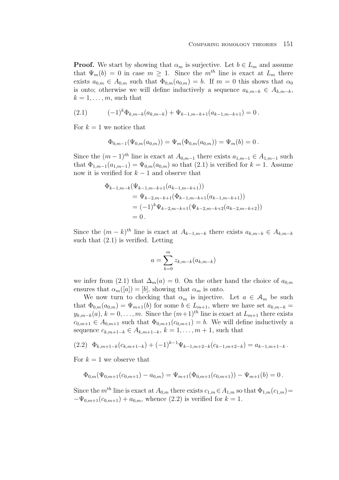**Proof.** We start by showing that  $\alpha_m$  is surjective. Let  $b \in L_m$  and assume that  $\Psi_m(b) = 0$  in case  $m \geq 1$ . Since the m<sup>th</sup> line is exact at  $L_m$  there exists  $a_{0,m} \in A_{0,m}$  such that  $\Phi_{0,m}(a_{0,m}) = b$ . If  $m = 0$  this shows that  $\alpha_0$ is onto; otherwise we will define inductively a sequence  $a_{k,m-k} \in A_{k,m-k}$ ,  $k = 1, \ldots, m$ , such that

(2.1) 
$$
(-1)^{k} \Phi_{k,m-k}(a_{k,m-k}) + \Psi_{k-1,m-k+1}(a_{k-1,m-k+1}) = 0.
$$

For  $k = 1$  we notice that

$$
\Phi_{0,m-1}(\Psi_{0,m}(a_{0,m})) = \Psi_m(\Phi_{0,m}(a_{0,m})) = \Psi_m(b) = 0.
$$

Since the  $(m-1)^{th}$  line is exact at  $A_{0,m-1}$  there exists  $a_{1,m-1} \in A_{1,m-1}$  such that  $\Phi_{1,m-1}(a_{1,m-1})=\Psi_{0,m}(a_{0,m})$  so that  $(2.1)$  is verified for  $k = 1$ . Assume now it is verified for  $k - 1$  and observe that

$$
\Phi_{k-1,m-k}(\Psi_{k-1,m-k+1}(a_{k-1,m-k+1}))
$$
\n
$$
= \Psi_{k-2,m-k+1}(\Phi_{k-1,m-k+1}(a_{k-1,m-k+1}))
$$
\n
$$
= (-1)^{k} \Psi_{k-2,m-k+1}(\Psi_{k-2,m-k+2}(a_{k-2,m-k+2}))
$$
\n
$$
= 0.
$$

Since the  $(m-k)^{th}$  line is exact at  $A_{k-1,m-k}$  there exists  $a_{k,m-k} \in A_{k,m-k}$ such that  $(2.1)$  is verified. Letting

$$
a = \sum_{k=0}^{m} z_{k,m-k} (a_{k,m-k})
$$

we infer from (2.1) that  $\Delta_m(a) = 0$ . On the other hand the choice of  $a_{0,m}$ ensures that  $\alpha_m([a]) = [b]$ , showing that  $\alpha_m$  is onto.

We now turn to checking that  $\alpha_m$  is injective. Let  $a \in \mathcal{A}_m$  be such that  $\Phi_{0,m}(a_{0,m})=\Psi_{m+1}(b)$  for some  $b \in L_{m+1}$ , where we have set  $a_{k,m-k}$  $y_{k,m-k}(a), k = 0, \ldots, m$ . Since the  $(m+1)^{th}$  line is exact at  $L_{m+1}$  there exists  $c_{0,m+1} \in A_{0,m+1}$  such that  $\Phi_{0,m+1}(c_{0,m+1}) = b$ . We will define inductively a sequence  $c_{k,m+1-k} \in A_{k,m+1-k}, k = 1, ..., m+1$ , such that

$$
(2.2) \quad \Phi_{k,m+1-k}(c_{k,m+1-k}) + (-1)^{k-1} \Psi_{k-1,m+2-k}(c_{k-1,m+2-k}) = a_{k-1,m+1-k}.
$$

For  $k = 1$  we observe that

$$
\Phi_{0,m}(\Psi_{0,m+1}(c_{0,m+1})-a_{0,m})=\Psi_{m+1}(\Phi_{0,m+1}(c_{0,m+1}))-\Psi_{m+1}(b)=0.
$$

Since the  $m^{th}$  line is exact at  $A_{0,m}$  there exists  $c_{1,m} \in A_{1,m}$  so that  $\Phi_{1,m}(c_{1,m})=$  $-\Psi_{0,m+1}(c_{0,m+1}) + a_{0,m}$ , whence (2.2) is verified for  $k = 1$ .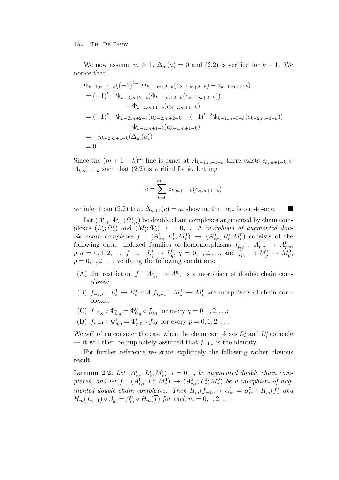We now assume  $m \geq 1$ ,  $\Delta_m(a) = 0$  and  $(2.2)$  is verified for  $k - 1$ . We notice that

$$
\Phi_{k-1,m+1-k}((-1)^{k-1}\Psi_{k-1,m+2-k}(c_{k-1,m+2-k}) - a_{k-1,m+1-k})
$$
\n
$$
= (-1)^{k-1}\Psi_{k-2,m+2-k}(\Phi_{k-1,m+2-k}(c_{k-1,m+2-k}))
$$
\n
$$
- \Phi_{k-1,m+1-k}(a_{k-1,m+1-k})
$$
\n
$$
= (-1)^{k-1}\Psi_{k-2,m+2-k}(a_{k-2,m+2-k} - (-1)^{k-2}\Psi_{k-2,m+3-k}(c_{k-2,m+3-k}))
$$
\n
$$
- \Phi_{k-1,m+1-k}(a_{k-1,m+1-k})
$$
\n
$$
= -y_{k-2,m+1-k}(\Delta_m(a))
$$
\n
$$
= 0.
$$

Since the  $(m + 1 - k)^{th}$  line is exact at  $A_{k-1,m+1-k}$  there exists  $c_{k,m+1-k}$  $A_{k,m+1-k}$  such that  $(2.2)$  is verified for k. Letting

$$
c = \sum_{k=0}^{m+1} z_{k,m+1-k} (c_{k,m+1-k})
$$

we infer from (2.2) that  $\Delta_{m+1}(c) = a$ , showing that  $\alpha_m$  is one-to-one.

Let  $(A^i_{*,*}; \Phi^i_{*,*}; \Psi^i_{*,*})$  be double chain complexes augmented by chain complexes  $(L^i_*, \Psi^i_*)$  and  $(M^i_*, \Phi^i_*), i = 0, 1$ . A morphism of augmented double chain complexes  $f : (A^1_{*,*}; L^1_{*}; M^1_{*}) \to (A^0_{*,*}; L^0_{*}; M^0_{*})$  consists of the following data: indexed families of homomorphisms  $f_{p,q}$ :  $A_{p,q}^1 \rightarrow A_{p,q}^0$  $p, q = 0, 1, 2, \ldots, f_{-1,q}: L_q^1 \to L_q^0, q = 0, 1, 2, \ldots, \text{ and } f_{p,-1}: \hat{M}_p^1 \to \hat{M}_p^0,$  $p = 0, 1, 2, \ldots$ , verifying the following conditions:

- (A) the restriction  $f: A^1_{*,*} \to A^0_{*,*}$  is a morphism of double chain complexes;
- (B)  $f_{-1,*}: L^1_* \to L^0_*$  and  $f_{*,-1}: M^1_* \to M^0_*$  are morphisms of chain complexes;
- (C)  $f_{-1,q} \circ \Phi_{0,q}^1 = \Phi_{0,q}^0 \circ f_{0,q}$  for every  $q = 0, 1, 2, ...;$
- (D)  $f_{p,-1} \circ \Psi_{p,0}^1 = \Psi_{p,0}^0 \circ f_{p,0}$  for every  $p = 0, 1, 2, \ldots$

We will often consider the case when the chain complexes  $L^1_*$  and  $L^0_*$  coincide — it will then be implicitely assumed that  $f_{-1,*}$  is the identity.

For further reference we state explicitely the following rather obvious result.

**Lemma 2.2.** Let  $(A^i_{*,*}; L^i_{*}; M^i_{*}), i = 0, 1$ , be augmented double chain complexes, and let  $f: (A^1_{*,*}; L^1_{*}; M^1_{*}) \to (A^0_{*,*}; L^0_{*}; M^0_{*})$  be a morphism of augmented double chain complexes. Then  $H_m(f_{-1,*}) \circ \alpha_m^1 = \alpha_m^0 \circ H_m(\overline{f})$  and  $H_m(f_{*,-1}) \circ \beta_m^1 = \beta_m^0 \circ H_m(\overline{f})$  for each  $m = 0, 1, 2, \ldots$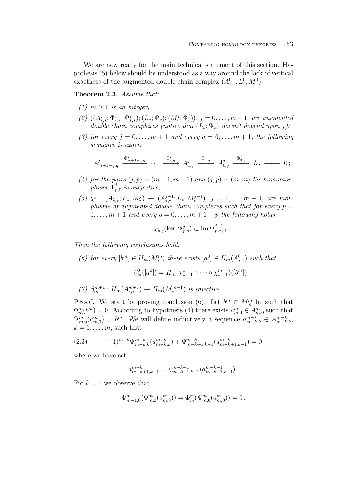We are now ready for the main technical statement of this section. Hypothesis (5) below should be understood as a way around the lack of vertical exactness of the augmented double chain complex  $(A^0_{*,*}; L^0_{*}; M^0_{*}).$ 

**Theorem 2.3.** Assume that:

- (1)  $m \geq 1$  is an integer:
- (2)  $((A^j_{*,*}; \Phi^j_{*,*}; \Psi^j_{*,*}); (L_*; \Psi_*); (M_*^j; \Phi_*^j)), j = 0, \ldots, m+1$ , are augmented double chain complexes (notice that  $(L_*,\Psi_*)$  doesn't depend upon j);
- (3) for every  $j = 0, \ldots, m + 1$  and every  $q = 0, \ldots, m + 1$ , the following sequence is exact:

$$
A_{m+1-q,q}^{j} \xrightarrow{\Phi_{m+1-q,q}^{j}} \cdots \xrightarrow{\Phi_{2,q}^{j}} A_{1,q}^{j} \xrightarrow{\Phi_{1,q}^{j}} A_{0,q}^{j} \xrightarrow{\Phi_{0,q}^{j}} L_{q} \longrightarrow 0;
$$

- (4) for the pairs  $(j, p) = (m + 1, m + 1)$  and  $(j, p) = (m, m)$  the homomorphism  $\Psi_{p,0}^j$  is surjective;
- (5)  $\chi^j$  :  $(A^j_{*,*}; L_*; M^j_*) \rightarrow (A^{j-1}_{*,*}; L_*; M^{j-1}_*), j = 1, \ldots, m+1$ , are morphisms of augmented double chain complexes such that for every  $p =$  $0, \ldots, m+1$  and every  $q = 0, \ldots, m+1-p$  the following holds:

$$
\chi_{p,q}^j(\text{ker }\Psi_{p,q}^j) \subset \text{im }\Psi_{p,q+1}^{j-1}.
$$

Then the following conclusions hold:

- (6) for every  $[b^m] \in H_m(M^m_*)$  there exists  $[a^0] \in H_m(A^0_{*,*})$  such that  $\beta_m^0([a^0]) = H_m(\chi^1_{*,-1} \circ \cdots \circ \chi^m_{*,-1})([b^m])$ ;
- (7)  $\beta_m^{m+1} : H_m(A_{**}^{m+1}) \to H_m(M_*^{m+1})$  is injective.

**Proof.** We start by proving conclusion (6). Let  $b^m \in M_m^m$  be such that  $\Phi_m^m(b^m) = 0$ . According to hypothesis (4) there exists  $a_{m,0}^m \in A_{m,0}^m$  such that  $\Psi_{m,0}^m(a_{m,0}^m) = b^m$ . We will define inductively a sequence  $a_{m-k,k}^{m-k} \in A_{m-k,k}^{m-k}$ ,  $k = 1, \ldots, m$ , such that

$$
(2.3) \qquad (-1)^{m-k} \Psi_{m-k,k}^{m-k}(a_{m-k,k}^{m-k}) + \Phi_{m-k+1,k-1}^{m-k}(a_{m-k+1,k-1}^{m-k}) = 0
$$

where we have set

$$
a_{m-k+1,k-1}^{m-k}=\chi_{m-k+1,k-1}^{m-k+1}\big(a_{m-k+1,k-1}^{m-k+1}\big)\,.
$$

For  $k = 1$  we observe that

$$
\Psi_{m-1,0}^m(\Phi_{m,0}^m(a_{m,0}^m))=\Phi_m^m(\Psi_{m,0}^m(a_{m,0}^m))=0\,.
$$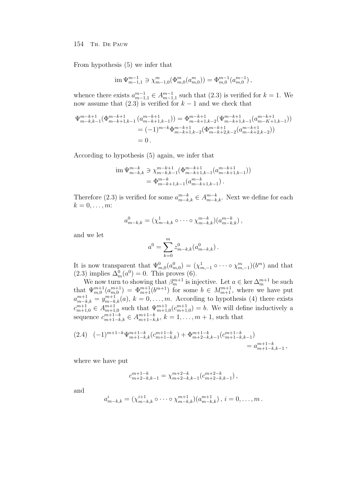From hypothesis (5) we infer that

$$
\operatorname{im} \Psi_{m-1,1}^{m-1} \ni \chi_{m-1,0}^m(\Phi_{m,0}^m(a_{m,0}^m)) = \Phi_{m,0}^{m-1}(a_{m,0}^{m-1}),
$$

whence there exists  $a_{m-1,1}^{m-1} \in A_{m-1,1}^{m-1}$  such that  $(2.3)$  is verified for  $k = 1$ . We now assume that  $(2.3)$  is verified for  $k-1$  and we check that

$$
\Psi_{m-k,k-1}^{m-k+1}(\Phi_{m-k+1,k-1}^{m-k+1}(a_{m-k+1,k-1}^{m-k+1})) = \Phi_{m-k+1,k-2}^{m-k+1}(\Psi_{m-k+1,k-1}^{m-k+1}(a_{m-k+1,k-1}^{m-k+1}))
$$
  
=  $(-1)^{m-k}\Phi_{m-k+1,k-2}^{m-k+1}(\Phi_{m-k+2,k-2}^{m-k+1}(a_{m-k+2,k-2}^{m-k+1}))$   
= 0.

According to hypothesis (5) again, we infer that

$$
\begin{aligned} \text{im}\,\Psi_{m-k,k}^{m-k} &\ni \chi_{m-k,k-1}^{m-k+1}(\Phi_{m-k+1,k-1}^{m-k+1}(a_{m-k+1,k-1}^{m-k+1})) \\ &= \Phi_{m-k+1,k-1}^{m-k}(a_{m-k+1,k-1}^{m-k}) \,. \end{aligned}
$$

Therefore (2.3) is verified for some  $a_{m-k,k}^{m-k} \in A_{m-k,k}^{m-k}$ . Next we define for each  $k=0,\ldots,m$ :

$$
a_{m-k,k}^0 = (\chi_{m-k,k}^1 \circ \cdots \circ \chi_{m-k,k}^{m-k})(a_{m-k,k}^{m-k}),
$$

and we let

$$
a^0 = \sum_{k=0}^m z_{m-k,k}^0 (a_{m-k,k}^0).
$$

It is now transparent that  $\Psi_{m,0}^0(a_{m,0}^0) = (\chi_{m,-1}^1 \circ \cdots \circ \chi_{m,-1}^m)(b^m)$  and that (2.3) implies  $\Delta_m^0(a^0) = 0$ . This proves (6).

We now turn to showing that  $\beta_m^{m+1}$  is injective. Let  $a \in \text{ker }\Delta_m^{m+1}$  be such that  $\Psi_{m,0}^{m+1}(a_{m,0}^{m+1}) = \Phi_{m+1}^{m+1}(b^{m+1})$  for some  $b \in M_{m+1}^{m+1}$ , where we have put  $a_{m-k,k}^{m+1} = y_{m-k,k}^{m+1}(a), k = 0, \ldots, m.$  According to hypothesis (4) there exists  $c_{m+1,0}^{m+1} \in A_{m+1,0}^{m+1}$  such that  $\Psi_{m+1,0}^{m+1}(c_{m+1,0}^{m+1}) = b$ . We will define inductively a sequence  $c_{m+1-k,k}^{m+1-k} \in A_{m+1-k,k}^{m+1-k}, k = 1, \ldots, m+1$ , such that

$$
(2.4) \quad (-1)^{m+1-k} \Psi_{m+1-k,k}^{m+1-k} (c_{m+1-k,k}^{m+1-k}) + \Phi_{m+2-k,k-1}^{m+1-k} (c_{m+1-k,k-1}^{m+1-k})
$$
  
=  $a_{m+1-k,k-1}^{m+1-k}$ ,

where we have put

$$
c_{m+2-k,k-1}^{m+1-k} = \chi_{m+2-k,k-1}^{m+2-k}(c_{m+2-k,k-1}^{m+2-k})\,,
$$

and

$$
a_{m-k,k}^i = (\chi_{m-k,k}^{i+1} \circ \cdots \circ \chi_{m-k,k}^{m+1})(a_{m-k,k}^{m+1}), i = 0, \ldots, m.
$$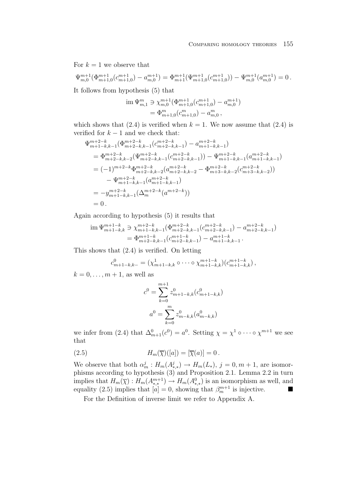For  $k = 1$  we observe that

$$
\Psi_{m,0}^{m+1}(\Phi_{m+1,0}^{m+1}(c_{m+1,0}^{m+1}) - a_{m,0}^{m+1}) = \Phi_{m+1}^{m+1}(\Psi_{m+1,0}^{m+1}(c_{m+1,0}^{m+1})) - \Psi_{m,0}^{m+1}(a_{m,0}^{m+1}) = 0.
$$

It follows from hypothesis (5) that

$$
\begin{aligned} \operatorname{im} \Psi_{m,1}^m &\ni \chi_{m,0}^{m+1}(\Phi_{m+1,0}^{m+1}(c_{m+1,0}^{m+1}) - a_{m,0}^{m+1}) \\ &= \Phi_{m+1,0}^m(c_{m+1,0}^m) - a_{m,0}^m \,, \end{aligned}
$$

which shows that  $(2.4)$  is verified when  $k = 1$ . We now assume that  $(2.4)$  is verified for  $k - 1$  and we check that:

$$
\Psi_{m+1-k,k-1}^{m+2-k}(\Phi_{m+2-k,k-1}^{m+2-k}(c_{m+2-k,k-1}^{m+2-k}) - a_{m+1-k,k-1}^{m+2-k})
$$
\n
$$
= \Phi_{m+2-k,k-2}^{m+2-k}(\Psi_{m+2-k,k-1}^{m+2-k}(c_{m+2-k,k-1}^{m+2-k})) - \Psi_{m+1-k,k-1}^{m+2-k}(a_{m+1-k,k-1}^{m+2-k})
$$
\n
$$
= (-1)^{m+2-k} \Phi_{m+2-k,k-2}^{m+2-k}(a_{m+2-k,k-2}^{m+2-k} - \Phi_{m+3-k,k-2}^{m+2-k}(c_{m+3-k,k-2}^{m+2-k}))
$$
\n
$$
- \Psi_{m+1-k,k-1}^{m+2-k}(a_{m+1-k,k-1}^{m+2-k})
$$
\n
$$
= -y_{m+1-k,k-1}^{m+2-k}(\Delta_m^{m+2-k}(a^{m+2-k}))
$$
\n
$$
= 0.
$$

Again according to hypothesis (5) it results that

$$
\begin{aligned} \operatorname{im} \Psi_{m+1-k,k}^{m+1-k} &\ni \chi_{m+1-k,k-1}^{m+2-k}(\Phi_{m+2-k,k-1}^{m+2-k}(c_{m+2-k,k-1}^{m+2-k}) - a_{m+2-k,k-1}^{m+2-k}) \\ &= \Phi_{m+2-k,k-1}^{m+1-k}(c_{m+2-k,k-1}^{m+1-k}) - a_{m+1-k,k-1}^{m+1-k} \,. \end{aligned}
$$

This shows that (2.4) is verified. On letting

$$
c_{m+1-k,k-}^0 = (\chi_{m+1-k,k}^1 \circ \cdots \circ \chi_{m+1-k,k}^{m+1-k})(c_{m+1-k,k}^{m+1-k}),
$$

 $k = 0, \ldots, m + 1$ , as well as

$$
c^{0} = \sum_{k=0}^{m+1} z_{m+1-k,k}^{0}(c_{m+1-k,k}^{0})
$$

$$
a^{0} = \sum_{k=0}^{m} z_{m-k,k}^{0}(a_{m-k,k}^{0})
$$

we infer from (2.4) that  $\Delta_{m+1}^0(c^0) = a^0$ . Setting  $\chi = \chi^1 \circ \cdots \circ \chi^{m+1}$  we see that

(2.5) 
$$
H_m(\overline{\chi})([a]) = [\overline{\chi}(a)] = 0.
$$

We observe that both  $\alpha_m^j: H_m(A_{*,*}^j) \to H_m(L_*), j = 0, m+1$ , are isomorphisms according to hypothesis (3) and Proposition 2.1. Lemma 2.2 in turn implies that  $H_m(\overline{\chi}) : H_m(A^{m+1}_{*,*}) \to H_m(A^0_{*,*})$  is an isomorphism as well, and equality (2.5) implies that  $[a] = 0$ , showing that  $\beta_m^{m+1}$  is injective.

For the Definition of inverse limit we refer to Appendix A.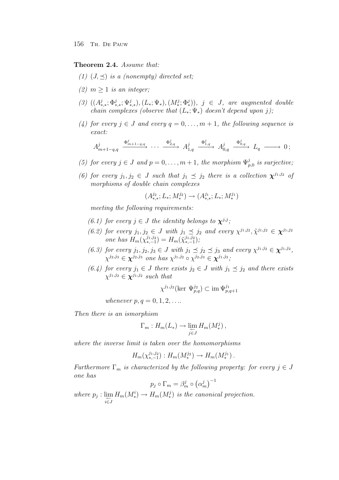## **Theorem 2.4.** Assume that:

- (1)  $(J, \preceq)$  is a (nonempty) directed set;
- (2)  $m > 1$  is an integer;
- (3)  $((A^j_{*,*}; \Phi^j_{*,*}; \Psi^j_{*,*}), (L_*; \Psi_*), (M_*^j; \Phi_*^j)), \, j \in J, \, \text{are augmented double}$ chain complexes (observe that  $(L_*,\Psi_*)$  doesn't depend upon j);
- (4) for every  $j \in J$  and every  $q = 0, \ldots, m + 1$ , the following sequence is exact:

$$
A_{m+1-q,q}^{j} \xrightarrow{\Phi_{m+1-q,q}^{j}} \cdots \xrightarrow{\Phi_{2,q}^{j}} A_{1,q}^{j} \xrightarrow{\Phi_{1,q}^{j}} A_{0,q}^{j} \xrightarrow{\Phi_{0,q}^{j}} L_{q} \longrightarrow 0;
$$

- (5) for every  $j \in J$  and  $p = 0, \ldots, m + 1$ , the morphism  $\Psi_{p,0}^j$  is surjective;
- (6) for every  $j_1, j_2 \in J$  such that  $j_1 \preceq j_2$  there is a collection  $\chi^{j_1, j_2}$  of morphisms of double chain complexes

$$
(A^{j_2}_{*,*};L_*;M^{j_2}_*)\to (A^{j_1}_{*,*};L_*;M^{j_1}_*)
$$

meeting the following requirements:

- (6.1) for every  $j \in J$  the identity belongs to  $\chi^{j,j}$ ;
- (6.2) for every  $j_1, j_2 \in J$  with  $j_1 \preceq j_2$  and every  $\chi^{j_1, j_2}, \tilde{\chi}^{j_1, j_2} \in \chi^{j_1, j_2}$ one has  $H_m(\chi_{*,-1}^{j_1,j_2}) = H_m(\tilde{\chi}_{*,-1}^{j_1,j_2});$
- (6.3) for every  $j_1, j_2, j_3 \in J$  with  $j_1 \preceq j_2 \preceq j_3$  and every  $\chi^{j_1, j_2} \in \chi^{j_1, j_2}$ ,  $\chi^{j_2,j_3} \in \chi^{j_2,j_3}$  one has  $\chi^{j_1,j_2} \circ \chi^{j_2,j_3} \in \chi^{j_1,j_3}$ ;
- (6.4) for every  $j_1 \in J$  there exists  $j_2 \in J$  with  $j_1 \preceq j_2$  and there exists  $\chi^{j_1,j_2} \in \mathbf{\chi}^{j_1,j_2}$  such that

$$
\chi^{j_1,j_2}(\text{ker }\Psi_{p,q}^{j_2}) \subset \text{im }\Psi_{p,q+1}^{j_1}
$$

whenever  $p, q = 0, 1, 2, ...$ 

Then there is an ismorphism

$$
\Gamma_m: H_m(L_*) \to \varprojlim_{j \in J} H_m(M_*^j),
$$

where the inverse limit is taken over the homomorphisms

$$
H_m(\chi_{*,-1}^{j_1,j_2}): H_m(M_*^{j_2}) \to H_m(M_*^{j_1}).
$$

Furthermore  $\Gamma_m$  is characterized by the following property: for every  $j \in J$ one has <sup>−</sup><sup>1</sup>

$$
p_j \circ \Gamma_m = \beta_m^j \circ (\alpha_m^j)^-
$$

where  $p_j: \lim_{\leftarrow} H_m(M_*^i) \to H_m(M_*^j)$  is the canonical projection. i∈J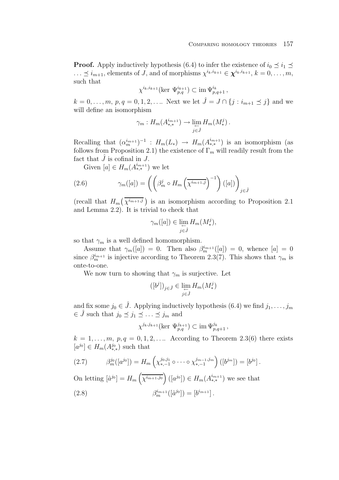**Proof.** Apply inductively hypothesis (6.4) to infer the existence of  $i_0 \leq i_1 \leq$  $\ldots \leq i_{m+1}$ , elements of J, and of morphisms  $\chi^{i_k, i_{k+1}} \in \chi^{i_k, i_{k+1}}, k = 0, \ldots, m$ , such that

$$
\chi^{i_k,i_{k+1}}(\text{ker}\ \Psi_{p,q}^{i_{k+1}}) \subset \text{im}\ \Psi_{p,q+1}^{i_k}\,,
$$

 $k = 0, \ldots, m, p, q = 0, 1, 2, \ldots$  Next we let  $\hat{J} = J \cap \{j : i_{m+1} \leq j\}$  and we will define an isomorphism

$$
\gamma_m: H_m(A_{*,*}^{i_{m+1}}) \to \lim_{\substack{\longleftarrow \\ j \in \hat{J}}} H_m(M_*^j).
$$

Recalling that  $(\alpha_m^{i_{m+1}})^{-1}$  :  $H_m(L_*) \to H_m(A_{*,*}^{i_{m+1}})$  is an isomorphism (as follows from Proposition 2.1) the existence of  $\Gamma_m$  will readily result from the fact that  $\hat{J}$  is cofinal in  $J$ .

Given  $[a] \in H_m(A^{i_{m+1}}_{*,*})$  we let

(2.6) 
$$
\gamma_m([a]) = \left( \left( \beta_m^j \circ H_m \left( \overline{\chi^{i_{m+1},j}} \right)^{-1} \right) ([a]) \right)_{j \in \hat{J}}
$$

(recall that  $H_m(\overline{\chi^{i_{m+1},j}})$  is an isomorphism according to Proposition 2.1 and Lemma 2.2). It is trivial to check that

$$
\gamma_m([a]) \in \lim_{\substack{\longleftarrow \\ j \in \hat{J}}} H_m(M_*^j),
$$

so that  $\gamma_m$  is a well defined homomorphism.

Assume that  $\gamma_m([a]) = 0$ . Then also  $\beta_m^{i_{m+1}}([a]) = 0$ , whence  $[a] = 0$ since  $\beta_m^{i_{m+1}}$  is injective according to Theorem 2.3(7). This shows that  $\gamma_m$  is onte-to-one.

We now turn to showing that  $\gamma_m$  is surjective. Let

$$
([b^j])_{j\in \hat{\jmath}}\in \lim_{\substack{\longleftarrow \\ j\in \hat{J}}}H_m(M^j_*)
$$

and fix some  $j_0 \in \hat{J}$ . Applying inductively hypothesis (6.4) we find  $j_1, \ldots, j_m$  $\in \hat{J}$  such that  $j_0 \preceq j_1 \preceq \ldots \preceq j_m$  and

$$
\chi^{j_k,j_{k+1}}(\text{ker }\Psi_{p,q}^{j_{k+1}}) \subset \text{im }\Psi_{p,q+1}^{j_k},
$$

 $k = 1, \ldots, m, p, q = 0, 1, 2, \ldots$  According to Theorem 2.3(6) there exists  $[a^{j_0}] \in H_m(A^{j_0}_{*,*})$  such that

$$
(2.7) \qquad \beta_m^{j_0}([a^{j_0}]) = H_m\left(\chi_{*,-1}^{j_0,j_1} \circ \cdots \circ \chi_{*,-1}^{j_{m-1},j_m}\right) ([b^{j_m}]) = [b^{j_0}].
$$

On letting  $[\hat{a}^{j_0}] = H_m\left(\overline{\chi^{i_{m+1},j_0}}\right) ([a^{j_0}]) \in H_m(A^{i_{m+1}}_{*,*})$  we see that (2.8)  $\beta_m^{i_{m+1}}([\hat{a}^{j_0}]) = [b^{i_{m+1}}]$ .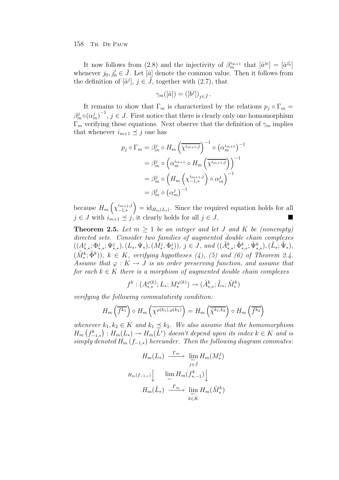It now follows from (2.8) and the injectivity of  $\beta_m^{i_{m+1}}$  that  $[\hat{a}^{j_0}] = [\hat{a}^{j'_0}]$ whenever  $j_0, j'_0 \in \hat{J}$ . Let  $[\hat{a}]$  denote the common value. Then it follows from the definition of  $[\hat{a}^j], j \in \tilde{J}$ , together with  $(2.7)$ , that

$$
\gamma_m([\hat{a}]) = ([b^j])_{j \in \hat{J}}.
$$

It remains to show that  $\Gamma_m$  is characterized by the relations  $p_j \circ \Gamma_m =$  $(\beta_m^j \circ (\alpha_m^j)^{-1}, j \in J$ . First notice that there is clearly only one homomorphism  $\Gamma_m$  verifying these equations. Next observe that the definition of  $\gamma_m$  implies that whenever  $i_{m+1} \preceq j$  one has

$$
p_j \circ \Gamma_m = \beta_m^j \circ H_m \left(\overline{\chi^{i_{m+1},j}}\right)^{-1} \circ \left(\alpha_m^{i_{m+1}}\right)^{-1}
$$

$$
= \beta_m^j \circ \left(\alpha_m^{i_{m+1}} \circ H_m \left(\overline{\chi^{i_{m+1},j}}\right)\right)^{-1}
$$

$$
= \beta_m^j \circ \left(H_m \left(\chi_{-1,*}^{i_{m+1},j}\right) \circ \alpha_m^j\right)^{-1}
$$

$$
= \beta_m^j \circ \left(\alpha_m^j\right)^{-1}
$$

because  $H_m\left(\chi_{-1,*}^{i_{m+1},j}\right)$ −1,∗  $= id_{H_m(L_*)}$ . Since the required equation holds for all  $j \in J$  with  $i_{m+1} \preceq j$ , it clearly holds for all  $j \in J$ .

**Theorem 2.5.** Let  $m \geq 1$  be an integer and let J and K be (nonempty) directed sets. Consider two families of augmented double chain complexes  $((A^j_{*,*}; \Phi^j_{*,*}; \Psi^j_{*,*}), (L_*, \Psi_*), (M_*^j, \Phi_*^j)), j \in J$ , and  $((\tilde{A}^k_{*,*}; \tilde{\Phi}^k_{*,*}; \tilde{\Psi}^k_{*,*}), (\tilde{L}_*, \tilde{\Psi}_*),$  $(\tilde{M}^k_*, \tilde{\Phi}^k)$ ,  $k \in K$ , verifying hypotheses (4), (5) and (6) of Theorem 2.4. Assume that  $\varphi: K \to J$  is an order preserving function, and assume that for each  $k \in K$  there is a morphism of augmented double chain complexes

$$
f^k:(A_{*,*}^{\varphi(k)};L_*;M_*^{\varphi(k)})\to(\tilde A_{*,*}^k;\tilde L_*;\tilde M_*^k)
$$

verifying the following commutativity condition:

$$
H_m\left(\overline{f^{k_1}}\right) \circ H_m\left(\overline{\chi^{\varphi(k_1),\varphi(k_2)}}\right) = H_m\left(\overline{\tilde{\chi}^{k_1,k_2}}\right) \circ H_m\left(\overline{f^{k_2}}\right)
$$

whenever  $k_1, k_2 \in K$  and  $k_1 \preceq k_2$ . We also assume that the homomorphism  $H_m(f_{-1,*}^k): H_m(L_*) \to H_m(\tilde{L}^*)$  doesn't depend upon its index  $k \in K$  and is simply denoted  $H_m(f_{-1,*})$  hereunder. Then the following diagram commutes:

$$
H_m(L_*) \xrightarrow{\Gamma_m} \lim_{j \in \hat{J}} H_m(M_*^j)
$$

$$
H_m(f_{-1,*}) \Big| \lim_{\leftarrow} H_m(f_{*,-1}^k) \Big|
$$

$$
H_m(\tilde{L}_*) \xrightarrow{\tilde{\Gamma}_m} \lim_{\leftarrow \atop k \in \hat{K}} H_m(\tilde{M}_*^k)
$$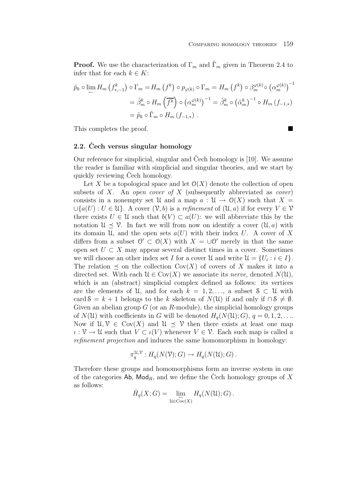**Proof.** We use the characterization of  $\Gamma_m$  and  $\Gamma_m$  given in Theorem 2.4 to infer that for each  $k \in K$ :

$$
\tilde{p}_k \circ \lim_{\leftarrow} H_m \left( f_{*,-1}^k \right) \circ \Gamma_m = H_m \left( f^k \right) \circ p_{\varphi(k)} \circ \Gamma_m = H_m \left( f^k \right) \circ \beta_m^{\varphi(k)} \circ \left( \alpha_m^{\varphi(k)} \right)^{-1}
$$

$$
= \tilde{\beta}_m^k \circ H_m \left( \overline{f^k} \right) \circ \left( \alpha_m^{\varphi(k)} \right)^{-1} = \tilde{\beta}_m^k \circ \left( \tilde{\alpha}_m^k \right)^{-1} \circ H_m \left( f_{-1,*} \right)
$$

$$
= \tilde{p}_k \circ \tilde{\Gamma}_m \circ H_m \left( f_{-1,*} \right) .
$$

This completes the proof.

## **2.2.** Cech versus singular homology

Our reference for simplicial, singular and Cech homology is  $[10]$ . We assume the reader is familiar with simplicial and singular theories, and we start by quickly reviewing Cech homology.

Let X be a topological space and let  $\mathcal{O}(X)$  denote the collection of open subsets of X. An open cover of X (subsequently abbreviated as cover) consists in a nonempty set U and a map  $a: U \to O(X)$  such that  $X =$  $\bigcup \{a(U): U \in \mathcal{U}\}\$ . A cover  $(\mathcal{V}, b)$  is a refinement of  $(\mathcal{U}, a)$  if for every  $V \in \mathcal{V}$ there exists  $U \in \mathcal{U}$  such that  $b(V) \subset a(U)$ : we will abbreviate this by the notation  $\mathcal{U} \preceq \mathcal{V}$ . In fact we will from now on identify a cover  $(\mathcal{U}, a)$  with its domain U, and the open sets  $a(U)$  with their index U. A cover of X differs from a subset  $\mathcal{O}' \subset \mathcal{O}(X)$  with  $X = \cup \mathcal{O}'$  merely in that the same open set  $U \subset X$  may appear several distinct times in a cover. Sometimes we will choose an other index set I for a cover  $\mathcal{U}$  and write  $\mathcal{U} = \{U_i : i \in I\}.$ The relation  $\preceq$  on the collection Cov(X) of covers of X makes it into a directed set. With each  $\mathcal{U} \in \text{Cov}(X)$  we associate its nerve, denoted  $N(\mathcal{U})$ , which is an (abstract) simplicial complex defined as follows: its vertices are the elements of U, and for each  $k = 1, 2, \ldots$ , a subset  $S \subset U$  with card  $S = k + 1$  belongs to the k skeleton of  $N(\mathcal{U})$  if and only if  $\cap S \neq \emptyset$ . Given an abelian group  $G$  (or an R-module), the simplicial homology groups of  $N(\mathcal{U})$  with coefficients in G will be denoted  $H_q(N(\mathcal{U}); G)$ ,  $q = 0, 1, 2, \ldots$ Now if  $\mathcal{U}, \mathcal{V} \in \text{Cov}(X)$  and  $\mathcal{U} \prec \mathcal{V}$  then there exists at least one map  $\iota : \mathcal{V} \to \mathcal{U}$  such that  $V \subset \iota(V)$  whenever  $V \in \mathcal{V}$ . Each such map is called a refinement projection and induces the same homomorphism in homology:

$$
\pi_q^{\mathfrak{U},\mathcal{V}}: H_q(N(\mathcal{V});G) \to H_q(N(\mathcal{U});G).
$$

Therefore these groups and homomorphisms form an inverse system in one of the categories Ab,  $\mathsf{Mod}_R$ , and we define the Čech homology groups of X as follows:

$$
\check{H}_q(X;G) = \lim_{\substack{\longleftarrow \\ \mathfrak{U} \in \text{Cov}(X)}} H_q(N(\mathfrak{U});G) .
$$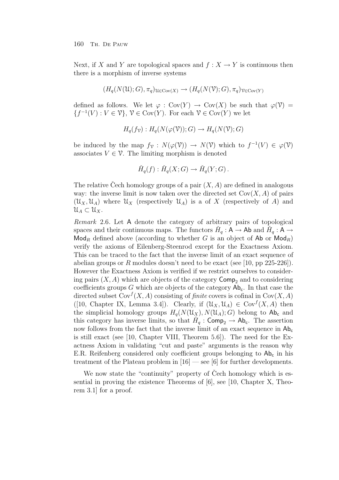Next, if X and Y are topological spaces and  $f: X \to Y$  is continuous then there is a morphism of inverse systems

$$
(H_q(N(\mathfrak{U});G), \pi_q)_{\mathfrak{U} \in \mathrm{Cov}(X)} \to (H_q(N(\mathfrak{V});G), \pi_q)_{\mathfrak{V} \in \mathrm{Cov}(Y)}
$$

defined as follows. We let  $\varphi : \text{Cov}(Y) \to \text{Cov}(X)$  be such that  $\varphi(\mathcal{V}) =$  ${f^{-1}(V) : V \in \mathcal{V}}, \mathcal{V} \in \text{Cov}(Y)$ . For each  $\mathcal{V} \in \text{Cov}(Y)$  we let

$$
H_q(f_{\mathcal{V}}): H_q(N(\varphi(\mathcal{V})); G) \to H_q(N(\mathcal{V}); G)
$$

be induced by the map  $f_{\mathcal{V}} : N(\varphi(\mathcal{V})) \to N(\mathcal{V})$  which to  $f^{-1}(V) \in \varphi(\mathcal{V})$ associates  $V \in \mathcal{V}$ . The limiting morphism is denoted

$$
\check{H}_q(f) : \check{H}_q(X;G) \to \check{H}_q(Y;G) .
$$

The relative Cech homology groups of a pair  $(X, A)$  are defined in analogous way: the inverse limit is now taken over the directed set  $Cov(X, A)$  of pairs  $(\mathcal{U}_X, \mathcal{U}_A)$  where  $\mathcal{U}_X$  (respectively  $\mathcal{U}_A$ ) is a of X (respectively of A) and  $\mathfrak{U}_A \subset \mathfrak{U}_X$ .

Remark 2.6. Let A denote the category of arbitrary pairs of topological spaces and their continuous maps. The functors  $H_q: A \to Ab$  and  $H_q: A \to$  $\mathsf{Mod}_R$  defined above (according to whether G is an object of Ab or  $\mathsf{Mod}_R$ ) verify the axioms of Eilenberg-Steenrod except for the Exactness Axiom. This can be traced to the fact that the inverse limit of an exact sequence of abelian groups or R modules doesn't need to be exact (see [10, pp 225-226]). However the Exactness Axiom is verified if we restrict ourselves to considering pairs  $(X, A)$  which are objects of the category  $\mathsf{Comp}_2$  and to considering coefficients groups  $G$  which are objects of the category  $Ab_c$ . In that case the directed subset  $Cov^{f}(X, A)$  consisting of finite covers is cofinal in  $Cov(X, A)$ ([10, Chapter IX, Lemma 3.4]). Clearly, if  $(\mathcal{U}_X, \mathcal{U}_A) \in \text{Cov}^f(X, A)$  then the simplicial homology groups  $H_q(N(\mathfrak{U}_X), N(\mathfrak{U}_A); G)$  belong to  $\mathsf{Ab}_c$  and this category has inverse limits, so that  $H_q$ : Comp<sub>2</sub>  $\rightarrow$  Ab<sub>c</sub>. The assertion now follows from the fact that the inverse limit of an exact sequence in  $Ab_c$ is still exact (see [10, Chapter VIII, Theorem 5.6]). The need for the Exactness Axiom in validating "cut and paste" arguments is the reason why E.R. Reifenberg considered only coefficient groups belonging to  $Ab<sub>c</sub>$  in his treatment of the Plateau problem in  $[16]$  — see [6] for further developments.

We now state the "continuity" property of Cech homology which is essential in proving the existence Theorems of [6], see [10, Chapter X, Theorem 3.1] for a proof.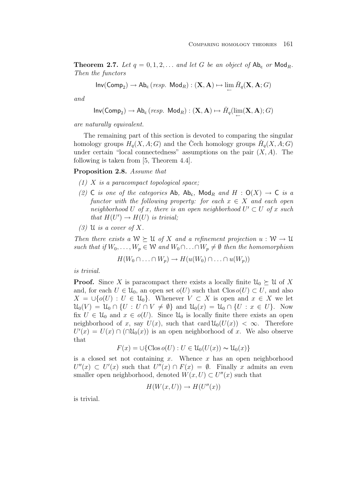**Theorem 2.7.** Let  $q = 0, 1, 2, \ldots$  and let G be an object of  $Ab_c$  or  $Mod_R$ . Then the functors

$$
\mathsf{Inv}(\mathsf{Comp}_2) \to \mathsf{Ab}_\mathsf{c}\,(\mathit{resp.}\ \mathsf{Mod}_R) : (\mathbf{X},\mathbf{A}) \mapsto \lim\limits_\leftarrow \check{H}_q(\mathbf{X},\mathbf{A};G)
$$

and

$$
\mathsf{Inv}(\mathsf{Comp}_2) \to \mathsf{Ab}_{\mathsf{c}}\,(\mathit{resp.}\ \mathsf{Mod}_R) : (\mathbf{X},\mathbf{A}) \mapsto \check{H}_q(\lim_{\leftarrow}(\mathbf{X},\mathbf{A});G)
$$

are naturally equivalent.

The remaining part of this section is devoted to comparing the singular homology groups  $H_q(X, A; G)$  and the Cech homology groups  $H_q(X, A; G)$ under certain "local connectedness" assumptions on the pair  $(X, A)$ . The following is taken from [5, Theorem 4.4].

## **Proposition 2.8.** Assume that

- $(1)$  X is a paracompact topological space;
- (2) C is one of the categories Ab,  $Ab_c$ , Mod<sub>R</sub> and H :  $O(X) \rightarrow C$  is a functor with the following property: for each  $x \in X$  and each open neighborhood U of x, there is an open neighborhood  $U' \subset U$  of x such that  $H(U') \to H(U)$  is trivial;
- $(3)$  U is a cover of X.

Then there exists a  $W \succeq U$  of X and a refinement projection  $u : W \to U$ such that if  $W_0, \ldots, W_p \in \mathcal{W}$  and  $W_0 \cap \ldots \cap W_p \neq \emptyset$  then the homomorphism

$$
H(W_0 \cap \ldots \cap W_p) \to H(u(W_0) \cap \ldots \cap u(W_p))
$$

is trivial.

**Proof.** Since X is paracompact there exists a locally finite  $\mathcal{U}_0 \succeq \mathcal{U}$  of X and, for each  $U \in \mathcal{U}_0$ , an open set  $o(U)$  such that  $C \text{los } o(U) \subset U$ , and also  $X = \bigcup \{o(U) : U \in \mathcal{U}_0\}.$  Whenever  $V \subset X$  is open and  $x \in X$  we let  $\mathcal{U}_0(V) = \mathcal{U}_0 \cap \{U : U \cap V \neq \emptyset\}$  and  $\mathcal{U}_0(x) = \mathcal{U}_0 \cap \{U : x \in U\}$ . Now fix  $U \in \mathcal{U}_0$  and  $x \in o(U)$ . Since  $\mathcal{U}_0$  is locally finite there exists an open neighborhood of x, say  $U(x)$ , such that card  $\mathcal{U}_0(U(x)) < \infty$ . Therefore  $U'(x) = U(x) \cap (\cap \mathcal{U}_0(x))$  is an open neighborhood of x. We also observe that

$$
F(x) = \bigcup \{ \text{Clos } o(U) : U \in \mathcal{U}_0(U(x)) \sim \mathcal{U}_0(x) \}
$$

is a closed set not containing x. Whence x has an open neighborhood  $U''(x) \subset U'(x)$  such that  $U''(x) \cap F(x) = \emptyset$ . Finally x admits an even smaller open neighborhood, denoted  $W(x, U) \subset U''(x)$  such that

$$
H(W(x, U)) \to H(U''(x))
$$

is trivial.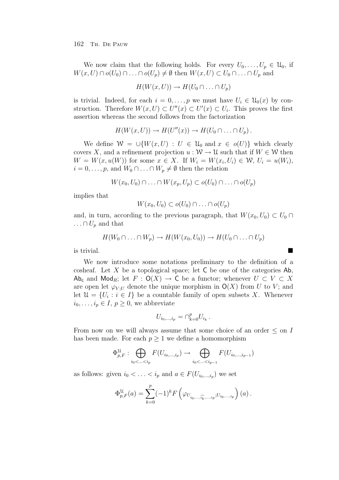We now claim that the following holds. For every  $U_0,\ldots,U_p \in \mathcal{U}_0$ , if  $W(x, U) \cap o(U_0) \cap \ldots \cap o(U_p) \neq \emptyset$  then  $W(x, U) \subset U_0 \cap \ldots \cap U_p$  and

$$
H(W(x, U)) \to H(U_0 \cap \ldots \cap U_p)
$$

is trivial. Indeed, for each  $i = 0, \ldots, p$  we must have  $U_i \in \mathcal{U}_0(x)$  by construction. Therefore  $W(x, U) \subset U''(x) \subset U'(x) \subset U_i$ . This proves the first assertion whereas the second follows from the factorization

$$
H(W(x, U)) \to H(U''(x)) \to H(U_0 \cap \ldots \cap U_p).
$$

We define  $W = \bigcup \{W(x, U) : U \in \mathcal{U}_0 \text{ and } x \in o(U)\}\$  which clearly covers X, and a refinement projection  $u : W \to U$  such that if  $W \in W$  then  $W = W(x, u(W))$  for some  $x \in X$ . If  $W_i = W(x_i, U_i) \in W$ ,  $U_i = u(W_i)$ ,  $i = 0, \ldots, p$ , and  $W_0 \cap \ldots \cap W_p \neq \emptyset$  then the relation

$$
W(x_0, U_0) \cap \ldots \cap W(x_p, U_p) \subset o(U_0) \cap \ldots \cap o(U_p)
$$

implies that

$$
W(x_0, U_0) \subset o(U_0) \cap \ldots \cap o(U_p)
$$

and, in turn, according to the previous paragraph, that  $W(x_0, U_0) \subset U_0 \cap$  $\ldots \cap U_p$  and that

$$
H(W_0 \cap \ldots \cap W_p) \to H(W(x_0, U_0)) \to H(U_0 \cap \ldots \cap U_p)
$$

is trivial.

We now introduce some notations preliminary to the definition of a cosheaf. Let X be a topological space; let  $\mathsf C$  be one of the categories Ab, Ab<sub>c</sub> and Mod<sub>R</sub>; let  $F: O(X) \to C$  be a functor; whenever  $U \subset V \subset X$ are open let  $\varphi_{V,U}$  denote the unique morphism in  $O(X)$  from U to V; and let  $\mathcal{U} = \{U_i : i \in I\}$  be a countable family of open subsets X. Whenever  $i_0,\ldots,i_p\in I, p\geq 0$ , we abbreviate

$$
U_{i_0,\ldots,i_p}=\cap_{k=0}^p U_{i_k}.
$$

From now on we will always assume that some choice of an order  $\leq$  on I has been made. For each  $p \geq 1$  we define a homomorphism

$$
\Phi_{p,F}^{\mathcal{U}}: \bigoplus_{i_0 < \ldots < i_p} F(U_{i_0,\ldots,i_p}) \to \bigoplus_{i_0 < \ldots < i_{p-1}} F(U_{i_0,\ldots,i_{p-1}})
$$

as follows: given  $i_0 < \ldots < i_p$  and  $a \in F(U_{i_0,\ldots,i_p})$  we set

$$
\Phi_{p,F}^{\mathcal{U}}(a) = \sum_{k=0}^{p} (-1)^k F\left(\varphi_{U_{i_0,\ldots,\widehat{i_k},\ldots,i_p};U_{i_0,\ldots,i_p}}\right)(a) .
$$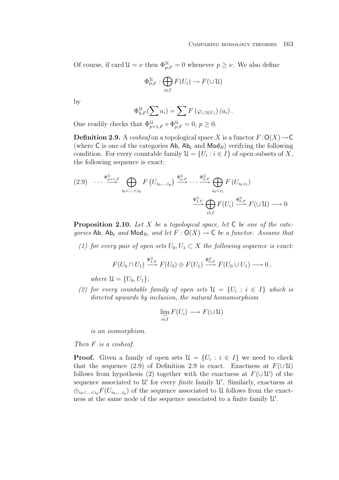Of course, if card  $\mathcal{U} = \nu$  then  $\Phi_{p,F}^{\mathcal{U}} = 0$  whenever  $p \geq \nu$ . We also define

$$
\Phi_{0,F}^{\mathcal{U}}: \bigoplus_{i\in I} F(U_i) \to F(\cup \mathcal{U})
$$

by

$$
\Phi_{0,F}^{\mathcal{U}}\left(\sum_{i} a_i\right) = \sum_{i} F\left(\varphi \cup \mathfrak{u}_{i}U_i\right)\left(a_i\right).
$$

One readily checks that  $\Phi_{p+1,F}^{\mathfrak{U}} \circ \Phi_{p,F}^{\mathfrak{U}} = 0, p \geq 0.$ 

**Definition 2.9.** A cosheaf on a topological space X is a functor  $F:O(X) \to \mathbb{C}$ (where C is one of the categories  $Ab$ ,  $Ab_c$  and  $Mod_R$ ) verifying the following condition. For every countable family  $\mathcal{U} = \{U_i : i \in I\}$  of open subsets of X, the following sequence is exact:

$$
(2.9) \quad \cdots \xrightarrow{\Phi_{p+1,F}^{\mathcal{U}}}\bigoplus_{i_0 < \ldots < i_p} F\left(U_{i_0,\ldots,i_p}\right) \xrightarrow{\Phi_{p,F}^{\mathcal{U}}} \cdots \xrightarrow{\Phi_{2,F}^{\mathcal{U}}} \bigoplus_{i_0 < i_1} F\left(U_{i_0,i_1}\right)
$$
\n
$$
\xrightarrow{\Phi_{1,F}^{\mathcal{U}}} \bigoplus_{i \in I} F\left(U_i\right) \xrightarrow{\Phi_{0,F}^{\mathcal{U}}} F\left(\bigcup \mathcal{U}\right) \longrightarrow 0
$$

**Proposition 2.10.** Let X be a topological space, let C be one of the categories Ab,  $Ab_c$  and  $Mod_R$ , and let  $F: O(X) \to C$  be a functor. Assume that

(1) for every pair of open sets  $U_0, U_1 \subset X$  the following sequence is exact:

$$
F(U_0 \cap U_1) \xrightarrow{\Phi_{1,F}^{\mathfrak{U}}} F(U_0) \oplus F(U_1) \xrightarrow{\Phi_{0,F}^{\mathfrak{U}}} F(U_0 \cup U_1) \longrightarrow 0,
$$

where  $\mathcal{U} = \{U_0, U_1\}$ ;

(2) for every countable family of open sets  $\mathfrak{U} = \{U_i : i \in I\}$  which is directed upwards by inclusion, the natural homomorphism

$$
\lim_{\substack{i \to I}} F(U_i) \longrightarrow F(\cup \mathcal{U})
$$

is an isomorphism.

Then F is a cosheaf.

**Proof.** Given a family of open sets  $\mathcal{U} = \{U_i : i \in I\}$  we need to check that the sequence (2.9) of Definition 2.9 is exact. Exactness at  $F(\cup \mathcal{U})$ follows from hypothesis (2) together with the exactness at  $F(\cup \mathcal{U}')$  of the sequence associated to  $\mathcal{U}'$  for every *finite* family  $\mathcal{U}'$ . Similarly, exactness at ⊕<sub>io</sub><...<i<sub>p</sub> $F(U_{i_0,\ldots,i_p})$  of the sequence associated to U follows from the exactness at the same node of the sequence associated to a finite family U .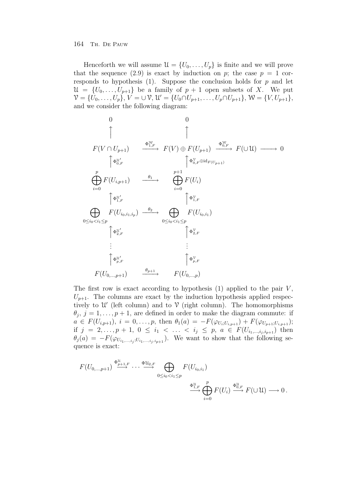Henceforth we will assume  $\mathcal{U} = \{U_0, \ldots, U_p\}$  is finite and we will prove that the sequence (2.9) is exact by induction on p; the case  $p = 1$  corresponds to hypothesis (1). Suppose the conclusion holds for  $p$  and let  $\mathcal{U} = \{U_0, \ldots, U_{p+1}\}\$ be a family of  $p+1$  open subsets of X. We put  $\mathcal{V} = \{U_0, \ldots, U_p\}, V = \cup \mathcal{V}, \mathcal{U}' = \{U_0 \cap U_{p+1}, \ldots, U_p \cap U_{p+1}\}, \mathcal{W} = \{V, U_{p+1}\},\$ and we consider the following diagram:

$$
\begin{array}{cccc}\n0 & 0 & 0 \\
& \uparrow & \uparrow & \uparrow \\
F(V \cap U_{p+1}) & \xrightarrow{\Phi_{1,F}^{W}} & F(V) \oplus F(U_{p+1}) & \xrightarrow{\Phi_{0,F}^{W}} & F(\cup \mathcal{U}) \longrightarrow 0 \\
& \uparrow \Phi_{0,F}^{u'} & \uparrow \Phi_{0,F}^{v} \oplus id_{F(U_{p+1})} & \xrightarrow{\Phi_{0,F}^{W}} & F(\cup \mathcal{U}) \longrightarrow 0 \\
& \bigoplus_{i=0}^{p} F(U_{i,p+1}) & \xrightarrow{\theta_{1}} & \bigoplus_{i=0}^{p+1} F(U_{i}) & \uparrow \Phi_{1,F}^{v} \\
& \bigoplus_{i=0}^{p} \Phi_{1,F}^{u'} & \uparrow \Phi_{1,F}^{v} & \uparrow \Phi_{1,F}^{v} \\
& \bigoplus_{0 \leq i_{0} < i_{1} \leq p} F(U_{i_{0},i_{1}}) & \uparrow \Phi_{2,F}^{v} & \uparrow \Phi_{2,F}^{v} \\
& \vdots & \vdots & \vdots & \vdots \\
& \bigoplus_{p,F}^{u'} & \bigoplus_{p,F}^{u'} & \bigoplus_{p,F}^{v} & \uparrow \Phi_{p,F}^{v} \\
& F(U_{0,...,p+1}) & \xrightarrow{\theta_{p+1}} & F(U_{0,...,p}) & \end{array}
$$

The first row is exact according to hypothesis  $(1)$  applied to the pair  $V$ ,  $U_{p+1}$ . The columns are exact by the induction hypothesis applied respectively to  $\mathcal{U}'$  (left column) and to  $\mathcal{V}$  (right column). The homomorphisms  $\theta_j$ ,  $j = 1, \ldots, p + 1$ , are defined in order to make the diagram commute: if  $a \in F(U_{i,p+1}), i = 0, \ldots, p$ , then  $\theta_1(a) = -F(\varphi_{U_i;U_{i,p+1}}) + F(\varphi_{U_{p+1};U_{i,p+1}});$ if  $j = 2,..., p + 1, 0 \le i_1 < ... < i_j \le p, a \in F(U_{i_1,...,i_j,i_{p+1}})$  then  $\theta_j(a) = -F(\varphi_{U_{i_1,\ldots,i_i};U_{i_1,\ldots,i_i,i_{n+1}}})$ . We want to show that the following sequence is exact:

$$
F(U_{0,\ldots,p+1}) \xrightarrow{\Phi_{p+1,F}^{\mathcal{U}} \cdots \xrightarrow{\Phi_{u_{2,F}}} \bigoplus_{0 \leq i_0 < i_1 \leq p} F(U_{i_0,i_1})
$$
\n
$$
\xrightarrow{\Phi_{1,F}^{\mathcal{U}}} \bigoplus_{i=0}^{p} F(U_i) \xrightarrow{\Phi_{0,F}^{\mathcal{U}}} F(\cup \mathcal{U}) \longrightarrow 0 \, .
$$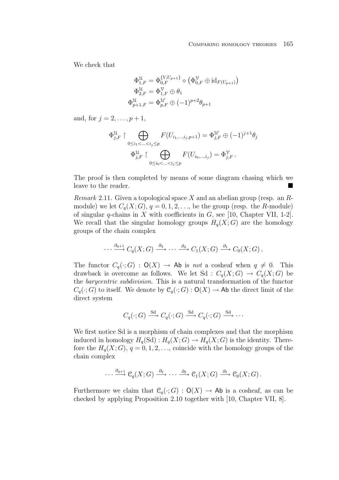We check that

$$
\Phi_{1,F}^{\mathcal{U}} = \Phi_{0,F}^{\{V, U_{p+1}\}} \circ (\Phi_{0,F}^{\mathcal{V}} \oplus id_{F(U_{p+1})})
$$
  

$$
\Phi_{2,F}^{\mathcal{U}} = \Phi_{1,F}^{\mathcal{V}} \oplus \theta_1
$$
  

$$
\Phi_{p+1,F}^{\mathcal{U}} = \Phi_{p,F}^{\mathcal{U}'} \oplus (-1)^{p+2} \theta_{p+1}
$$

and, for  $j = 2, ..., p + 1$ ,

$$
\Phi_{j,F}^{\mathcal{U}} \upharpoonright \bigoplus_{0 \le i_1 < \ldots < i_j \le p} F(U_{i_1,\ldots,i_j,p+1}) = \Phi_{j,F}^{\mathcal{U}} \oplus (-1)^{j+1} \theta_j
$$
\n
$$
\Phi_{j,F}^{\mathcal{U}} \upharpoonright \bigoplus_{0 \le i_0 < \ldots < i_j \le p} F(U_{i_0,\ldots,i_j}) = \Phi_{j,F}^{\mathcal{V}}.
$$

The proof is then completed by means of some diagram chasing which we leave to the reader.

Remark 2.11. Given a topological space  $X$  and an abelian group (resp. an  $R$ module) we let  $C_q(X;G)$ ,  $q = 0,1,2,...$ , be the group (resp. the R-module) of singular q-chains in X with coefficients in  $G$ , see [10, Chapter VII, 1-2]. We recall that the singular homology groups  $H_q(X; G)$  are the homology groups of the chain complex

$$
\cdots \xrightarrow{\partial_{q+1}} C_q(X;G) \xrightarrow{\partial_q} \cdots \xrightarrow{\partial_2} C_1(X;G) \xrightarrow{\partial_1} C_0(X;G).
$$

The functor  $C_q(\cdot; G) : \mathsf{O}(X) \to \mathsf{Ab}$  is not a cosheaf when  $q \neq 0$ . This drawback is overcome as follows. We let Sd :  $C_q(X;G) \to C_q(X;G)$  be the barycentric subdivision. This is a natural transformation of the functor  $C_q(\cdot; G)$  to itself. We denote by  $\mathcal{C}_q(\cdot; G) : \mathsf{O}(X) \to \mathsf{Ab}$  the direct limit of the direct system

$$
C_q(\cdot; G) \xrightarrow{\text{Sd}} C_q(\cdot; G) \xrightarrow{\text{Sd}} C_q(\cdot; G) \xrightarrow{\text{Sd}} \cdots
$$

We first notice Sd is a morphism of chain complexes and that the morphism induced in homology  $H_q(Sd) : H_q(X; G) \to H_q(X; G)$  is the identity. Therefore the  $H_q(X; G)$ ,  $q = 0, 1, 2, \ldots$ , coincide with the homology groups of the chain complex

$$
\cdots \xrightarrow{\partial_{q+1}} \mathcal{C}_q(X;G) \xrightarrow{\partial_q} \cdots \xrightarrow{\partial_2} \mathcal{C}_1(X;G) \xrightarrow{\partial_1} \mathcal{C}_0(X;G).
$$

Furthermore we claim that  $\mathcal{C}_q(\cdot; G) : \mathsf{O}(X) \to \mathsf{Ab}$  is a cosheaf, as can be checked by applying Proposition 2.10 together with [10, Chapter VII, 8].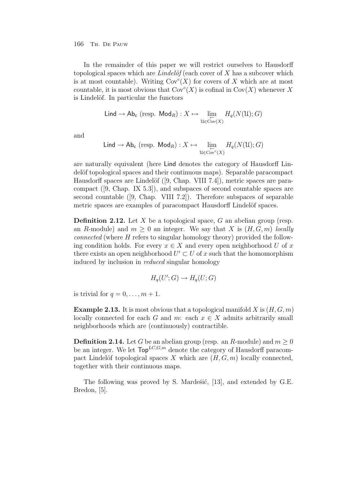In the remainder of this paper we will restrict ourselves to Hausdorff topological spaces which are Lindelöf (each cover of X has a subcover which is at most countable). Writing  $Cov^{c}(X)$  for covers of X which are at most countable, it is most obvious that  $Cov^{c}(X)$  is cofinal in  $Cov(X)$  whenever X is Lindelöf. In particular the functors

$$
\mathsf{Lind} \to \mathsf{Ab}_{\mathsf{c}} \; (\text{resp. } \mathsf{Mod}_R) : X \mapsto \varprojlim_{\mathcal{U} \in \operatorname{Cov}(X)} H_q(N(\mathcal{U}); G)
$$

and

$$
\mathsf{Lind} \to \mathsf{Ab}_{\mathsf{c}} \; (\text{resp. } \mathsf{Mod}_R) : X \mapsto \lim_{\substack{\leftarrow \\ \mathsf{U} \in \mathrm{Cov}^c(X)}} H_q(N(\mathsf{U}); G)
$$

are naturally equivalent (here Lind denotes the category of Hausdorff Lindelöf topological spaces and their continuous maps). Separable paracompact Hausdorff spaces are Lindelöf ([9, Chap. VIII 7.4]), metric spaces are paracompact ([9, Chap. IX 5.3]), and subspaces of second countable spaces are second countable ([9, Chap. VIII 7.2]). Therefore subspaces of separable metric spaces are examples of paracompact Hausdorff Lindelöf spaces.

**Definition 2.12.** Let X be a topological space, G an abelian group (resp. an R-module) and  $m \geq 0$  an integer. We say that X is  $(H, G, m)$  locally connected (where H refers to singular homology theory) provided the following condition holds. For every  $x \in X$  and every open neighborhood U of x there exists an open neighborhood  $U' \subset U$  of x such that the homomorphism induced by inclusion in reduced singular homology

$$
H_q(U';G) \to H_q(U;G)
$$

is trivial for  $q = 0, \ldots, m + 1$ .

**Example 2.13.** It is most obvious that a topological manifold X is  $(H, G, m)$ locally connected for each G and m: each  $x \in X$  admits arbitrarily small neighborhoods which are (continuously) contractible.

**Definition 2.14.** Let G be an abelian group (resp. an R-module) and  $m \geq 0$ be an integer. We let  $\mathsf{Top}^{LC,G,m}$  denote the category of Hausdorff paracompact Lindelöf topological spaces X which are  $(H, G, m)$  locally connected, together with their continuous maps.

The following was proved by S. Mardešić, [13], and extended by G.E. Bredon, [5].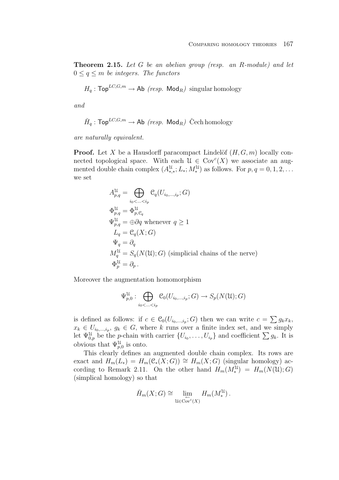**Theorem 2.15.** Let G be an abelian group (resp. an R-module) and let  $0 \leq q \leq m$  be integers. The functors

$$
H_q: \mathsf{Top}^{LC, G, m} \to \mathsf{Ab} \ (resp. \ \mathsf{Mod}_R) \ \text{singular homology}
$$

and

$$
\check{H}_q: \mathsf{Top}^{LC, G, m} \to \mathsf{Ab} \ (resp. \ \mathsf{Mod}_R) \ \check{\mathrm{C}}ech \ homology
$$

are naturally equivalent.

**Proof.** Let X be a Hausdorff paracompact Lindelöf  $(H, G, m)$  locally connected topological space. With each  $\mathcal{U} \in \text{Cov}^{c}(X)$  we associate an augmented double chain complex  $(A_{*,*}^{\mathcal{U}}; L_*, M_*^{\mathcal{U}})$  as follows. For  $p, q = 0, 1, 2, \ldots$ we set

$$
A_{p,q}^{\mathcal{U}} = \bigoplus_{i_0 < \ldots < i_p} \mathcal{C}_q(U_{i_0,\ldots,i_p}; G)
$$
  
\n
$$
\Phi_{p,q}^{\mathcal{U}} = \Phi_{p,\mathcal{C}_q}^{\mathcal{U}}
$$
  
\n
$$
\Psi_{p,q}^{\mathcal{U}} = \bigoplus \partial q \text{ whenever } q \ge 1
$$
  
\n
$$
L_q = \mathcal{C}_q(X; G)
$$
  
\n
$$
\Psi_q = \partial_q
$$
  
\n
$$
M_q^{\mathcal{U}} = S_q(N(\mathcal{U}); G) \text{ (simplified chains of the nerve)}
$$
  
\n
$$
\Phi_p^{\mathcal{U}} = \partial_p.
$$

Moreover the augmentation homomorphism

$$
\Psi_{p,0}^{\mathcal{U}}: \bigoplus_{i_0 < \ldots < i_p} \mathcal{C}_0(U_{i_0,\ldots,i_p}; G) \to S_p(N(\mathcal{U}); G)
$$

is defined as follows: if  $c \in \mathcal{C}_0(U_{i_0,\dots,i_p};G)$  then we can write  $c = \sum g_k x_k$ ,  $x_k \in U_{i_0,\dots,i_p}, g_k \in G$ , where k runs over a finite index set, and we simply let  $\Psi_{0,p}^{\mathcal{U}}$  be the *p*-chain with carrier  $\{U_{i_0}, \ldots, U_{i_p}\}\$  and coefficient  $\sum g_k$ . It is obvious that  $\Psi_{p,0}^{\mathfrak{U}}$  is onto.

This clearly defines an augmented double chain complex. Its rows are exact and  $H_m(L_*) = H_m(\mathcal{C}_*(X;G)) \cong H_m(X;G)$  (singular homology) according to Remark 2.11. On the other hand  $H_m(M_*^{\mathfrak{U}}) = H_m(N(\mathfrak{U}); G)$ (simplical homology) so that

$$
\check{H}_m(X;G) \cong \lim_{\substack{\longleftarrow \\ u \in \mathrm{Cov}^c(X)}} H_m(M^{\mathfrak{U}}_*)\,.
$$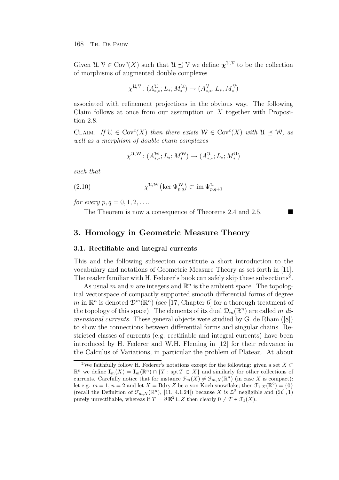Given  $\mathcal{U}, \mathcal{V} \in \text{Cov}^c(X)$  such that  $\mathcal{U} \preceq \mathcal{V}$  we define  $\chi^{\mathcal{U}, \mathcal{V}}$  to be the collection of morphisms of augmented double complexes

$$
\chi^{\mathcal{U},\mathcal{V}} : (A^{\mathcal{U}}_{*,*}; L_*; M^{\mathcal{U}}_*) \to (A^{\mathcal{V}}_{*,*}; L_*; M^{\mathcal{V}}_*)
$$

associated with refinement projections in the obvious way. The following Claim follows at once from our assumption on  $X$  together with Proposition 2.8.

CLAIM. If  $\mathcal{U} \in \text{Cov}^c(X)$  then there exists  $\mathcal{W} \in \text{Cov}^c(X)$  with  $\mathcal{U} \preceq \mathcal{W}$ , as well as a morphism of double chain complexes

$$
\chi^{\mathfrak{U}, \mathcal{W}} : (A^{\mathcal{W}}_{*,*}; L_*; M^{\mathcal{W}}_*) \to (A^{\mathfrak{U}}_{*,*}; L_*; M^{\mathcal{U}}_*)
$$

such that

(2.10) 
$$
\chi^{\mathfrak{U}, \mathcal{W}}\left(\ker \Psi^{\mathcal{W}}_{p,q}\right) \subset \text{im } \Psi^{\mathfrak{U}}_{p,q+1}
$$

*for every*  $p, q = 0, 1, 2, ...$ 

The Theorem is now a consequence of Theorems 2.4 and 2.5.

# **3. Homology in Geometric Measure Theory**

### **3.1. Rectifiable and integral currents**

This and the following subsection constitute a short introduction to the vocabulary and notations of Geometric Measure Theory as set forth in [11]. The reader familiar with H. Federer's book can safely skip these subsections<sup>2</sup>.

As usual m and n are integers and  $\mathbb{R}^n$  is the ambient space. The topological vectorspace of compactly supported smooth differential forms of degree m in  $\mathbb{R}^n$  is denoted  $\mathcal{D}^m(\mathbb{R}^n)$  (see [17, Chapter 6] for a thorough treatment of the topology of this space). The elements of its dual  $\mathcal{D}_m(\mathbb{R}^n)$  are called m dimensional currents. These general objects were studied by G. de Rham ([8]) to show the connections between differential forms and singular chains. Restricted classes of currents (e.g. rectifiable and integral currents) have been introduced by H. Federer and W.H. Fleming in [12] for their relevance in the Calculus of Variations, in particular the problem of Plateau. At about

<sup>&</sup>lt;sup>2</sup>We faithfully follow H. Federer's notations except for the following: given a set  $X \subset$  $\mathbb{R}^n$  we define  $\mathbf{I}_m(X) = \mathbf{I}_m(\mathbb{R}^n) \cap \{T : \text{spr } T \subset X\}$  and similarly for other collections of currents. Carefully notice that for instance  $\mathcal{F}_m(X) \neq \mathcal{F}_{m,X}(\mathbb{R}^n)$  (in case X is compact): let e.g.  $m = 1$ ,  $n = 2$  and let  $X = Bdry Z$  be a von Koch snowflake; then  $\mathcal{F}_{1,X}(\mathbb{R}^2) = \{0\}$ (recall the Definition of  $\mathfrak{F}_{m,X}(\mathbb{R}^n)$ , [11, 4.1.24]) because X is  $\mathcal{L}^2$  negligible and  $(\mathcal{H}^1,1)$ purely unrectifiable, whereas if  $T = \partial \mathbf{E}^2 \mathbf{L} Z$  then clearly  $0 \neq T \in \mathcal{F}_1(X)$ .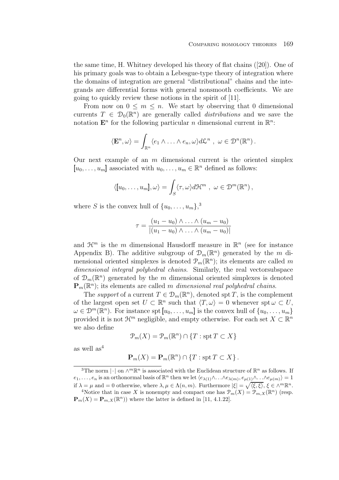the same time, H. Whitney developed his theory of flat chains ([20]). One of his primary goals was to obtain a Lebesgue-type theory of integration where the domains of integration are general "distributional" chains and the integrands are differential forms with general nonsmooth coefficients. We are going to quickly review these notions in the spirit of [11].

From now on  $0 \leq m \leq n$ . We start by observing that 0 dimensional currents  $T \in \mathcal{D}_0(\mathbb{R}^n)$  are generally called *distributions* and we save the notation  $\mathbf{E}^n$  for the following particular *n* dimensional current in  $\mathbb{R}^n$ :

$$
\langle \mathbf{E}^n, \omega \rangle = \int_{\mathbb{R}^n} \langle e_1 \wedge \ldots \wedge e_n, \omega \rangle d\mathcal{L}^n , \ \omega \in \mathcal{D}^n(\mathbb{R}^n).
$$

Our next example of an  $m$  dimensional current is the oriented simplex  $[u_0,\ldots,u_m]$  associated with  $u_0,\ldots,u_m \in \mathbb{R}^n$  defined as follows:

$$
\langle [u_0,\ldots,u_m],\omega\rangle = \int_S \langle \tau,\omega \rangle d\mathcal{H}^m
$$
,  $\omega \in \mathcal{D}^m(\mathbb{R}^n)$ ,

where S is the convex hull of  $\{u_0, \ldots, u_m\}$ <sup>3</sup>,

$$
\tau = \frac{(u_1 - u_0) \wedge \ldots \wedge (u_m - u_0)}{|(u_1 - u_0) \wedge \ldots \wedge (u_m - u_0)|}
$$

and  $\mathcal{H}^m$  is the m dimensional Hausdorff measure in  $\mathbb{R}^n$  (see for instance Appendix B). The additive subgroup of  $\mathcal{D}_m(\mathbb{R}^n)$  generated by the m dimensional oriented simplexes is denoted  $\mathcal{P}_m(\mathbb{R}^n)$ ; its elements are called m dimensional integral polyhedral chains. Similarly, the real vectorsubspace of  $\mathcal{D}_m(\mathbb{R}^n)$  generated by the m dimensional oriented simplexes is denoted  $\mathbf{P}_m(\mathbb{R}^n)$ ; its elements are called m dimensional real polyhedral chains.

The support of a current  $T \in \mathcal{D}_m(\mathbb{R}^n)$ , denoted spt T, is the complement of the largest open set  $U \subset \mathbb{R}^n$  such that  $\langle T, \omega \rangle = 0$  whenever spt  $\omega \subset U$ ,  $\omega \in \mathcal{D}^m(\mathbb{R}^n)$ . For instance spt  $[u_0,\ldots,u_m]$  is the convex hull of  $\{u_0,\ldots,u_m\}$ provided it is not  $\mathcal{H}^m$  negligible, and empty otherwise. For each set  $X \subset \mathbb{R}^n$ we also define

$$
\mathcal{P}_m(X) = \mathcal{P}_m(\mathbb{R}^n) \cap \{T : \operatorname{spt} T \subset X\}
$$

as well  $\text{as}^4$ 

$$
\mathbf{P}_m(X) = \mathbf{P}_m(\mathbb{R}^n) \cap \{T : \operatorname{spt} T \subset X\}.
$$

<sup>&</sup>lt;sup>3</sup>The norm  $\lvert \cdot \rvert$  on  $\wedge^m \mathbb{R}^n$  is associated with the Euclidean structure of  $\mathbb{R}^n$  as follows. If  $e_1,\ldots,e_n$  is an orthonormal basis of  $\mathbb{R}^n$  then we let  $\langle e_{\lambda(1)}\wedge\ldots\wedge e_{\lambda(m)}, e_{\mu(1)}\wedge\ldots\wedge e_{\mu(m)}\rangle=1$ if  $\lambda = \mu$  and  $= 0$  otherwise, where  $\lambda, \mu \in \Lambda(n,m)$ . Furthermore  $|\xi| = \sqrt{\langle \xi, \xi \rangle}, \xi \in \Lambda^m \mathbb{R}^n$ .

<sup>&</sup>lt;sup>4</sup>Notice that in case X is nonempty and compact one has  $\mathcal{P}_m(X) = \mathcal{P}_{m,X}(\mathbb{R}^n)$  (resp.  $\mathbf{P}_m(X) = \mathbf{P}_{m,X}(\mathbb{R}^n)$  where the latter is defined in [11, 4.1.22].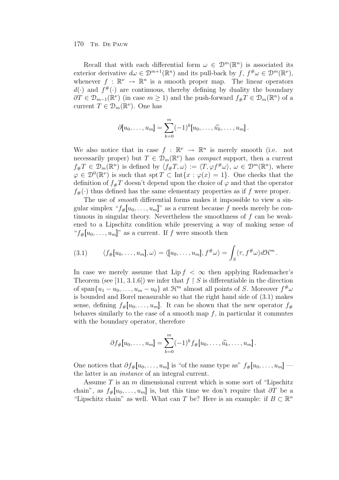Recall that with each differential form  $\omega \in \mathcal{D}^m(\mathbb{R}^n)$  is associated its exterior derivative  $d\omega \in \mathcal{D}^{m+1}(\mathbb{R}^n)$  and its pull-back by  $f, f^{\#}\omega \in \mathcal{D}^m(\mathbb{R}^\nu)$ , whenever  $f : \mathbb{R}^{\nu} \to \mathbb{R}^n$  is a smooth proper map. The linear operators  $d(\cdot)$  and  $f^{\#}(\cdot)$  are continuous, thereby defining by duality the boundary  $\partial T \in \mathcal{D}_{m-1}(\mathbb{R}^{\nu})$  (in case  $m \geq 1$ ) and the push-forward  $f_{\#}T \in \mathcal{D}_m(\mathbb{R}^n)$  of a current  $T \in \mathcal{D}_m(\mathbb{R}^{\nu})$ . One has

$$
\partial[u_0,\ldots,u_m]=\sum_{k=0}^m(-1)^k[u_0,\ldots,\widehat{u_k},\ldots,u_m].
$$

We also notice that in case  $f : \mathbb{R}^{\nu} \to \mathbb{R}^n$  is merely smooth (i.e. not necessarily proper) but  $T \in \mathcal{D}_m(\mathbb{R}^{\nu})$  has *compact* support, then a current  $f_{\#}T \in \mathcal{D}_m(\mathbb{R}^n)$  is defined by  $\langle f_{\#}T, \omega \rangle := \langle T, \varphi f^{\#}\omega \rangle, \ \omega \in \mathcal{D}^m(\mathbb{R}^n)$ , where  $\varphi \in \mathcal{D}^0(\mathbb{R}^{\nu})$  is such that spt  $T \subset \text{Int}\{x : \varphi(x)=1\}$ . One checks that the definition of  $f_{\#}T$  doesn't depend upon the choice of  $\varphi$  and that the operator  $f_{\#}(\cdot)$  thus defined has the same elementary properties as if f were proper.

The use of *smooth* differential forms makes it impossible to view a singular simplex " $f_{\#}[u_0,\ldots,u_m]$ " as a current because f needs merely be continuous in singular theory. Nevertheless the smoothness of f can be weakened to a Lipschitz condition while preserving a way of making sense of " $f_{\#}[u_0,\ldots,u_m]$ " as a current. If f were smooth then

(3.1) 
$$
\langle f_{\#}[u_0,\ldots,u_m],\omega\rangle = \langle[u_0,\ldots,u_m],f^{\#}\omega\rangle = \int_S \langle \tau,f^{\#}\omega \rangle d\mathcal{H}^m.
$$

In case we merely assume that Lip  $f < \infty$  then applying Rademacher's Theorem (see [11, 3.1.6]) we infer that  $f \restriction S$  is differentiable in the direction of span $\{u_1 - u_0, \ldots, u_m - u_0\}$  at  $\mathcal{H}^m$  almost all points of S. Moreover  $f^{\#}\omega$ is bounded and Borel measurable so that the right hand side of (3.1) makes sense, defining  $f_{\#}[u_0,\ldots,u_m]$ . It can be shown that the new operator  $f_{\#}$ behaves similarly to the case of a smooth map  $f$ , in particular it commutes with the boundary operator, therefore

$$
\partial f_{\#}[u_0, \ldots, u_m] = \sum_{k=0}^m (-1)^k f_{\#}[u_0, \ldots, \widehat{u_k}, \ldots, u_m].
$$

One notices that  $\partial f_{\#}[u_0,\ldots,u_m]$  is "of the same type as"  $f_{\#}[u_0,\ldots,u_m]$  the latter is an instance of an integral current.

Assume  $T$  is an  $m$  dimensional current which is some sort of "Lipschitz" chain", as  $f_{\#}[u_0,\ldots,u_m]$  is, but this time we don't require that  $\partial T$  be a "Lipschitz chain" as well. What can T be? Here is an example: if  $B \subset \mathbb{R}^n$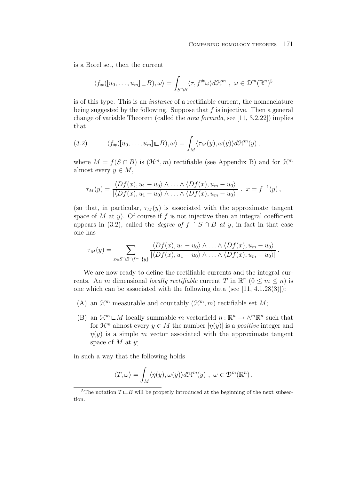is a Borel set, then the current

$$
\langle f_{\#}([u_0,\ldots,u_m]\sqcup B),\omega\rangle = \int_{S\cap B} \langle \tau, f^{\#}\omega \rangle d\mathcal{H}^m, \ \omega \in \mathcal{D}^m(\mathbb{R}^n)^5
$$

is of this type. This is an instance of a rectifiable current, the nomenclature being suggested by the following. Suppose that  $f$  is injective. Then a general change of variable Theorem (called the area formula, see [11, 3.2.22]) implies that

(3.2) 
$$
\langle f_{\#}([u_0,\ldots,u_m]\mathbf{L}B),\omega\rangle = \int_M \langle \tau_M(y),\omega(y)\rangle d\mathcal{H}^m(y),
$$

where  $M = f(S \cap B)$  is  $(\mathcal{H}^m, m)$  rectifiable (see Appendix B) and for  $\mathcal{H}^m$ almost every  $y \in M$ ,

$$
\tau_M(y) = \frac{\langle Df(x), u_1 - u_0 \rangle \wedge \ldots \wedge \langle Df(x), u_m - u_0 \rangle}{|\langle Df(x), u_1 - u_0 \rangle \wedge \ldots \wedge \langle Df(x), u_m - u_0 \rangle|}, \quad x = f^{-1}(y),
$$

(so that, in particular,  $\tau_M(y)$  is associated with the approximate tangent space of M at y). Of course if f is not injective then an integral coefficient appears in (3.2), called the *degree of*  $f \restriction S \cap B$  at y, in fact in that case one has

$$
\tau_M(y) = \sum_{x \in S \cap B \cap f^{-1}\{y\}} \frac{\langle Df(x), u_1 - u_0 \rangle \wedge \ldots \wedge \langle Df(x), u_m - u_0 \rangle}{|\langle Df(x), u_1 - u_0 \rangle \wedge \ldots \wedge \langle Df(x), u_m - u_0 \rangle|}.
$$

We are now ready to define the rectifiable currents and the integral currents. An m dimensional locally rectifiable current T in  $\mathbb{R}^n$  ( $0 \le m \le n$ ) is one which can be associated with the following data (see [11, 4.1.28(3)]):

- (A) an  $\mathcal{H}^m$  measurable and countably  $(\mathcal{H}^m, m)$  rectifiable set M;
- (B) an  $\mathcal{H}^m \mathsf{L} M$  locally summable m vectorfield  $\eta : \mathbb{R}^n \to \wedge^m \mathbb{R}^n$  such that for  $\mathcal{H}^m$  almost every  $y \in M$  the number  $|\eta(y)|$  is a *positive* integer and  $\eta(y)$  is a simple m vector associated with the approximate tangent space of  $M$  at  $y$ ;

in such a way that the following holds

$$
\langle T, \omega \rangle = \int_M \langle \eta(y), \omega(y) \rangle d\mathcal{H}^m(y) , \ \omega \in \mathcal{D}^m(\mathbb{R}^n) .
$$

<sup>&</sup>lt;sup>5</sup>The notation  $T \sqcup B$  will be properly introduced at the beginning of the next subsection.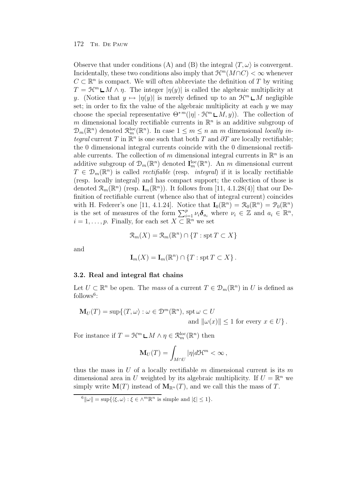Observe that under conditions (A) and (B) the integral  $\langle T,\omega \rangle$  is convergent. Incidentally, these two conditions also imply that  $\mathcal{H}^m(M\cap C) < \infty$  whenever  $C \subset \mathbb{R}^n$  is compact. We will often abbreviate the definition of T by writing  $T = \mathcal{H}^m \sqcup M \wedge \eta$ . The integer  $|\eta(y)|$  is called the algebraic multiplicity at y. (Notice that  $y \mapsto |\eta(y)|$  is merely defined up to an  $\mathcal{H}^m \square M$  negligible set; in order to fix the value of the algebraic multiplicity at each  $\gamma$  we may choose the special representative  $\Theta^{*m}(|\eta| \cdot \mathcal{H}^m \mathsf{L} M, y)$ . The collection of m dimensional locally rectifiable currents in  $\mathbb{R}^n$  is an additive subgroup of  $\mathcal{D}_m(\mathbb{R}^n)$  denoted  $\mathcal{R}_m^{\text{loc}}(\mathbb{R}^n)$ . In case  $1 \leq m \leq n$  an m dimensional locally integral current T in  $\mathbb{R}^n$  is one such that both T and  $\partial T$  are locally rectifiable; the 0 dimensional integral currents coincide with the 0 dimensional rectifiable currents. The collection of m dimensional integral currents in  $\mathbb{R}^n$  is an additive subgroup of  $\mathcal{D}_m(\mathbb{R}^n)$  denoted  $\mathbf{I}_m^{\text{loc}}(\mathbb{R}^n)$ . An m dimensional current  $T \in \mathcal{D}_m(\mathbb{R}^n)$  is called *rectifiable* (resp. *integral*) if it is locally rectifiable (resp. locally integral) and has compact support; the collection of those is denoted  $\mathcal{R}_m(\mathbb{R}^n)$  (resp.  $\mathbf{I}_m(\mathbb{R}^n)$ ). It follows from [11, 4.1.28(4)] that our Definition of rectifiable current (whence also that of integral current) coincides with H. Federer's one [11, 4.1.24]. Notice that  $\mathbf{I}_0(\mathbb{R}^n) = \mathcal{R}_0(\mathbb{R}^n) = \mathcal{P}_0(\mathbb{R}^n)$ is the set of measures of the form  $\sum_{i=1}^p \nu_i \delta_{a_i}$  where  $\nu_i \in \mathbb{Z}$  and  $a_i \in \mathbb{R}^n$ ,  $i = 1, \ldots, p$ . Finally, for each set  $X \subset \mathbb{R}^n$  we set

$$
\mathcal{R}_m(X) = \mathcal{R}_m(\mathbb{R}^n) \cap \{T : \operatorname{spt} T \subset X\}
$$

and

$$
\mathbf{I}_m(X) = \mathbf{I}_m(\mathbb{R}^n) \cap \{T : \operatorname{spt} T \subset X\}.
$$

### **3.2. Real and integral flat chains**

Let  $U \subset \mathbb{R}^n$  be open. The mass of a current  $T \in \mathcal{D}_m(\mathbb{R}^n)$  in U is defined as  $follows<sup>6</sup>$ :

$$
\mathbf{M}_U(T) = \sup \{ \langle T, \omega \rangle : \omega \in \mathcal{D}^m(\mathbb{R}^n), \text{ spt } \omega \subset U
$$
  
and  $\|\omega(x)\| \le 1$  for every  $x \in U \}.$ 

For instance if  $T = \mathcal{H}^m \mathsf{L} M \wedge \eta \in \mathcal{R}_m^{\text{loc}}(\mathbb{R}^n)$  then

$$
\mathbf{M}_U(T) = \int_{M \cap U} |\eta| d\mathcal{H}^m < \infty \,,
$$

thus the mass in U of a locally rectifiable m dimensional current is its m dimensional area in U weighted by its algebraic multiplicity. If  $U = \mathbb{R}^n$  we simply write  $\mathbf{M}(T)$  instead of  $\mathbf{M}_{\mathbb{R}^n}(T)$ , and we call this the mass of T.

 $\|\hat{\mathbf{w}}\| = \sup\{ \langle \xi, \omega \rangle : \xi \in \wedge^m \mathbb{R}^n \text{ is simple and } |\xi| \leq 1 \}.$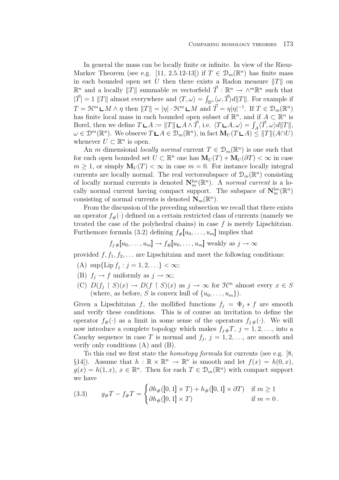In general the mass can be locally finite or infinite. In view of the Riesz-Markov Theorem (see e.g. [11, 2.5.12-13]) if  $T \in \mathcal{D}_m(\mathbb{R}^n)$  has finite mass in each bounded open set U then there exists a Radon measure  $||T||$  on  $\mathbb{R}^n$  and a locally ||T|| summable m vectorfield  $\vec{T}$  :  $\mathbb{R}^n$  →  $\wedge^m \mathbb{R}^n$  such that  $|\vec{T}| = 1$  ||T|| almost everywhere and  $\langle T, \omega \rangle = \int_{\mathbb{R}^n} \langle \omega, \vec{T} \rangle d||T||$ . For example if  $T = \mathfrak{H}^m \mathsf{L} M \wedge \eta$  then  $||T|| = |\eta| \cdot \mathfrak{H}^m \mathsf{L} M$  and  $\vec{T} = \eta |\eta|^{-1}$ . If  $T \in \mathcal{D}_m(\mathbb{R}^n)$ has finite local mass in each bounded open subset of  $\mathbb{R}^n$ , and if  $A \subset \mathbb{R}^n$  is Borel, then we define  $T \sqcup A := ||T|| \sqcup A \wedge \vec{T}$ , i.e.  $\langle T \sqcup A, \omega \rangle = \int_A \langle \vec{T}, \omega \rangle d||T||$ ,  $\omega \in \mathcal{D}^m(\mathbb{R}^n)$ . We observe  $T \mathsf{L} A \in \mathcal{D}_m(\mathbb{R}^n)$ , in fact  $\mathbf{M}_U(T \mathsf{L} A) \leq ||T|| (A \cap U)$ whenever  $U \subset \mathbb{R}^n$  is open.

An m dimensional locally normal current  $T \in \mathcal{D}_m(\mathbb{R}^n)$  is one such that for each open bounded set  $U \subset \mathbb{R}^n$  one has  $\mathbf{M}_U(T) + \mathbf{M}_U(\partial T) < \infty$  in case  $m \geq 1$ , or simply  $M_U(T) < \infty$  in case  $m = 0$ . For instance locally integral currents are locally normal. The real vectorsubspace of  $\mathcal{D}_m(\mathbb{R}^n)$  consisting of locally normal currents is denoted  $\mathbf{N}_m^{\text{loc}}(\mathbb{R}^n)$ . A normal current is a locally normal current having compact support. The subspace of  $N_{m}^{\text{loc}}(\mathbb{R}^{n})$ consisting of normal currents is denoted  $\mathbf{N}_m(\mathbb{R}^n)$ .

From the discussion of the preceding subsection we recall that there exists an operator  $f_{\#}(\cdot)$  defined on a certain restricted class of currents (namely we treated the case of the polyhedral chains) in case  $f$  is merely Lipschitzian. Furthemore formula (3.2) defining  $f_{\#}[u_0,\ldots,u_m]$  implies that

$$
f_{j\#}[u_0,\ldots,u_m] \to f_{\#}[u_0,\ldots,u_m]
$$
 weakly as  $j \to \infty$ 

provided  $f, f_1, f_2, \ldots$  are Lipschitzian and meet the following conditions:

- (A)  $\sup{\{\text{Lip } f_i : j = 1, 2, ...\}} < \infty;$
- (B)  $f_j \to f$  uniformly as  $j \to \infty$ ;
- (C)  $D(f_j \upharpoonright S)(x) \to D(f \upharpoonright S)(x)$  as  $j \to \infty$  for  $\mathcal{H}^m$  almost every  $x \in S$ (where, as before, S is convex hull of  $\{u_0, \ldots, u_m\}$ ).

Given a Lipschitzian f, the mollified functions  $f_i = \Phi_i * f$  are smooth and verify these conditions. This is of course an invitation to define the operator  $f_{\#}(\cdot)$  as a limit in some sense of the operators  $f_{i\#}(\cdot)$ . We will now introduce a complete topology which makes  $f_{i#}T$ ,  $j = 1, 2, \ldots$ , into a Cauchy sequence in case T is normal and  $f_j$ ,  $j = 1, 2, \ldots$ , are smooth and verify only conditions (A) and (B).

To this end we first state the homotopy formula for currents (see e.g. [8, §14]). Assume that  $h : \mathbb{R} \times \mathbb{R}^n \to \mathbb{R}^\nu$  is smooth and let  $f(x) = h(0, x)$ ,  $g(x) = h(1, x), x \in \mathbb{R}^n$ . Then for each  $T \in \mathcal{D}_m(\mathbb{R}^n)$  with compact support we have

(3.3) 
$$
g_{\#}T - f_{\#}T = \begin{cases} \partial h_{\#}([0,1] \times T) + h_{\#}([0,1] \times \partial T) & \text{if } m \ge 1 \\ \partial h_{\#}([0,1] \times T) & \text{if } m = 0 \, . \end{cases}
$$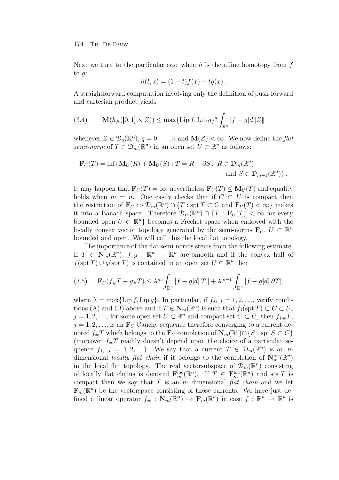Next we turn to the particular case when h is the affine homotopy from  $f$ to g:

$$
h(t, x) = (1 - t)f(x) + tg(x).
$$

A straightforward computation involving only the definition of push-forward and cartesian product yields

(3.4) 
$$
\mathbf{M}(h_{\#}([0,1] \times Z)) \leq \max\{\text{Lip } f, \text{Lip } g\}^{q} \int_{\mathbb{R}^{n}} |f - g| d\| Z \|
$$

whenever  $Z \in \mathcal{D}_q(\mathbb{R}^n)$ ,  $q = 0, \ldots, n$  and  $\mathbf{M}(Z) < \infty$ . We now define the flat semi-norm of  $T \in \mathcal{D}_m(\mathbb{R}^n)$  in an open set  $U \subset \mathbb{R}^n$  as follows:

$$
\mathbf{F}_U(T) = \inf \{ \mathbf{M}_U(R) + \mathbf{M}_U(S) : T = R + \partial S, \ R \in \mathcal{D}_m(\mathbb{R}^n) \text{ and } S \in \mathcal{D}_{m+1}(\mathbb{R}^n) \}.
$$

It may happen that  $\mathbf{F}_U(T) = \infty$ , nevertheless  $\mathbf{F}_U(T) \leq \mathbf{M}_U(T)$  and equality holds when  $m = n$ . One easily checks that if  $C \subset U$  is compact then the restriction of  $\mathbf{F}_U$  to  $\mathcal{D}_m(\mathbb{R}^n) \cap \{T : \text{spr } T \subset C \text{ and } \mathbf{F}_U(T) < \infty\}$  makes it into a Banach space. Therefore  $\mathcal{D}_m(\mathbb{R}^n) \cap \{T : \mathbf{F}_U(T) < \infty \}$  for every bounded open  $U \subset \mathbb{R}^n$  becomes a Fréchet space when endowed with the locally convex vector topology generated by the semi-norms  $\mathbf{F}_U, U \subset \mathbb{R}^n$ bounded and open. We will call this the local flat topology.

The importance of the flat semi-norms stems from the following estimate. If  $T \in \mathbb{N}_m(\mathbb{R}^n)$ ,  $f, g : \mathbb{R}^n \to \mathbb{R}^\nu$  are smooth and if the convex hull of  $f(\operatorname{spt} T) \cup g(\operatorname{spt} T)$  is contained in an open set  $U \subset \mathbb{R}^{\nu}$  then

$$
(3.5) \qquad \mathbf{F}_U(f_{\#}T - g_{\#}T) \le \lambda^m \int_{\mathbb{R}^n} |f - g|d||T|| + \lambda^{m-1} \int_{\mathbb{R}^n} |f - g|d||\partial T||
$$

where  $\lambda = \max{\{\text{Lip } f, \text{Lip } g\}}$ . In particular, if  $f_i, j = 1, 2, \ldots$ , verify conditions (A) and (B) above and if  $T \in \mathbb{N}_m(\mathbb{R}^n)$  is such that  $f_i(\operatorname{spt} T) \subset C \subset U$ ,  $j = 1, 2, \ldots$ , for some open set  $U \subset \mathbb{R}^n$  and compact set  $C \subset U$ , then  $f_{j#}T$ ,  $j = 1, 2, \ldots$ , is an  $\mathbf{F}_U$  Cauchy sequence therefore converging to a current denoted  $f_{\#}T$  which belongs to the  $\mathbf{F}_U$  completion of  $\mathbf{N}_m(\mathbb{R}^{\nu}) \cap \{S : \text{spt } S \subset C\}$ (moreover  $f_{\#}T$  readily doesn't depend upon the choice of a particular sequence  $f_j$ ,  $j = 1, 2, \ldots$ ). We say that a current  $T \in \mathcal{D}_m(\mathbb{R}^n)$  is an m dimensional *locally flat chain* if it belongs to the completion of  $\mathbf{N}_m^{\text{loc}}(\mathbb{R}^n)$ in the local flat topology. The real vectorsubspace of  $\mathcal{D}_m(\mathbb{R}^n)$  consisting of locally flat chains is denoted  $\mathbf{F}_m^{\text{loc}}(\mathbb{R}^n)$ . If  $T \in \mathbf{F}_m^{\text{loc}}(\mathbb{R}^n)$  and spt T is compact then we say that  $T$  is an  $m$  dimensional  $\int f \, du$  and we let  $\mathbf{F}_m(\mathbb{R}^n)$  be the vectorspace consisting of those currents. We have just defined a linear operator  $f_{\#}: \mathbf{N}_m(\mathbb{R}^n) \to \mathbf{F}_m(\mathbb{R}^{\nu})$  in case  $f: \mathbb{R}^n \to \mathbb{R}^{\nu}$  is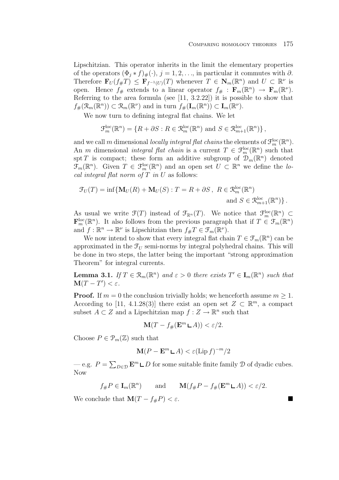Lipschitzian. This operator inherits in the limit the elementary properties of the operators  $(\Phi_j * f)_\#(\cdot)$ ,  $j = 1, 2, \ldots$ , in particular it commutes with  $\partial$ . Therefore  $\mathbf{F}_U(f_{\#}T) \leq \mathbf{F}_{f^{-1}(U)}(T)$  whenever  $T \in \mathbf{N}_m(\mathbb{R}^n)$  and  $U \subset \mathbb{R}^{\nu}$  is open. Hence  $f_{\#}$  extends to a linear operator  $f_{\#} : \mathbf{F}_m(\mathbb{R}^n) \to \mathbf{F}_m(\mathbb{R}^{\nu})$ . Referring to the area formula (see [11, 3.2.22]) it is possible to show that  $f_{\#}(\mathcal{R}_m(\mathbb{R}^n)) \subset \mathcal{R}_m(\mathbb{R}^{\nu})$  and in turn  $f_{\#}(\mathbf{I}_m(\mathbb{R}^n)) \subset \mathbf{I}_m(\mathbb{R}^{\nu})$ .

We now turn to defining integral flat chains. We let

$$
\mathcal{F}_m^{\text{loc}}(\mathbb{R}^n) = \{ R + \partial S : R \in \mathcal{R}_m^{\text{loc}}(\mathbb{R}^n) \text{ and } S \in \mathcal{R}_{m+1}^{\text{loc}}(\mathbb{R}^n) \},
$$

and we call m dimensional locally integral flat chains the elements of  $\mathcal{F}_m^{\text{loc}}(\mathbb{R}^n)$ . An m dimensional *integral flat chain* is a current  $T \in \mathcal{F}_m^{\text{loc}}(\mathbb{R}^n)$  such that spt T is compact; these form an additive subgroup of  $\mathcal{D}_m(\mathbb{R}^n)$  denoted  $\mathfrak{F}_m(\mathbb{R}^n)$ . Given  $T \in \mathfrak{F}_m^{\rm loc}(\mathbb{R}^n)$  and an open set  $U \subset \mathbb{R}^n$  we define the local integral flat norm of  $T$  in  $U$  as follows:

$$
\mathcal{F}_U(T) = \inf \{ \mathbf{M}_U(R) + \mathbf{M}_U(S) : T = R + \partial S, \ R \in \mathcal{R}_m^{\text{loc}}(\mathbb{R}^n) \text{ and } S \in \mathcal{R}_{m+1}^{\text{loc}}(\mathbb{R}^n) \} .
$$

As usual we write  $\mathfrak{F}(T)$  instead of  $\mathfrak{F}_{\mathbb{R}^n}(T)$ . We notice that  $\mathfrak{F}_m^{\text{loc}}(\mathbb{R}^n) \subset$  $\mathbf{F}_m^{\text{loc}}(\mathbb{R}^n)$ . It also follows from the previous paragraph that if  $T \in \mathcal{F}_m(\mathbb{R}^n)$ and  $f: \mathbb{R}^n \to \mathbb{R}^\nu$  is Lipschitzian then  $f_{\#}T \in \mathcal{F}_m(\mathbb{R}^\nu)$ .

We now intend to show that every integral flat chain  $T \in \mathcal{F}_m(\mathbb{R}^n)$  can be approximated in the  $\mathcal{F}_U$  semi-norms by integral polyhedral chains. This will be done in two steps, the latter being the important "strong approximation Theorem" for integral currents.

**Lemma 3.1.** If  $T \in \mathcal{R}_m(\mathbb{R}^n)$  and  $\varepsilon > 0$  there exists  $T' \in I_m(\mathbb{R}^n)$  such that  $\mathbf{M}(T-T') < \varepsilon$ .

**Proof.** If  $m = 0$  the conclusion trivially holds; we henceforth assume  $m \geq 1$ . According to [11, 4.1.28(3)] there exist an open set  $Z \subset \mathbb{R}^m$ , a compact subset  $A \subset Z$  and a Lipschitzian map  $f: Z \to \mathbb{R}^n$  such that

$$
\mathbf{M}(T - f_{\#}(\mathbf{E}^m \sqcup A)) < \varepsilon/2.
$$

Choose  $P \in \mathcal{P}_m(\mathbb{Z})$  such that

$$
\mathbf{M}(P - \mathbf{E}^m \mathbf{L}A) < \varepsilon (\text{Lip } f)^{-m} / 2
$$

— e.g.  $P = \sum_{D \in \mathcal{D}} \mathbf{E}^m \mathbf{L} D$  for some suitable finite family  $\mathcal{D}$  of dyadic cubes. Now

$$
f_{\#}P \in \mathbf{I}_m(\mathbb{R}^n)
$$
 and  $\mathbf{M}(f_{\#}P - f_{\#}(\mathbf{E}^m \sqcup A)) < \varepsilon/2$ .

We conclude that  $\mathbf{M}(T - f_{\#}P) < \varepsilon$ .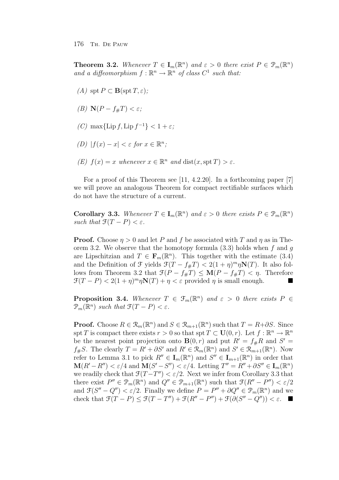**Theorem 3.2.** Whenever  $T \in I_m(\mathbb{R}^n)$  and  $\varepsilon > 0$  there exist  $P \in \mathcal{P}_m(\mathbb{R}^n)$ and a diffeomorphism  $f : \mathbb{R}^n \to \mathbb{R}^n$  of class  $C^1$  such that:

- (A) spt  $P \subset \mathbf{B}(\text{spt }T, \varepsilon);$
- (B)  $\mathbf{N}(P f_{\#}T) < \varepsilon$ ;
- (C) max $\{\text{Lip } f, \text{Lip } f^{-1}\} < 1 + \varepsilon$ ;
- (D)  $|f(x) x| < \varepsilon$  for  $x \in \mathbb{R}^n$ ;
- (E)  $f(x) = x$  whenever  $x \in \mathbb{R}^n$  and  $dist(x, spt T) > \varepsilon$ .

For a proof of this Theorem see [11, 4.2.20]. In a forthcoming paper [7] we will prove an analogous Theorem for compact rectifiable surfaces which do not have the structure of a current.

**Corollary 3.3.** Whenever  $T \in I_m(\mathbb{R}^n)$  and  $\varepsilon > 0$  there exists  $P \in \mathcal{P}_m(\mathbb{R}^n)$ such that  $\mathfrak{F}(T-P) < \varepsilon$ .

**Proof.** Choose  $\eta > 0$  and let P and f be associated with T and  $\eta$  as in Theorem 3.2. We observe that the homotopy formula  $(3.3)$  holds when f and g are Lipschitzian and  $T \in \mathbf{F}_m(\mathbb{R}^n)$ . This together with the estimate (3.4) and the Definition of  $\mathcal{F}$  yields  $\mathcal{F}(T - f_{\#}T) < 2(1 + \eta)^m \eta N(T)$ . It also follows from Theorem 3.2 that  $\mathcal{F}(P - f_{\#}T) \leq \mathbf{M}(P - f_{\#}T) < \eta$ . Therefore  $\mathfrak{F}(T-P) < 2(1+\eta)^m \eta \mathbf{N}(T) + \eta < \varepsilon$  provided  $\eta$  is small enough.

**Proposition 3.4.** Whenever  $T \in \mathcal{F}_m(\mathbb{R}^n)$  and  $\varepsilon > 0$  there exists  $P \in$  $\mathcal{P}_m(\mathbb{R}^n)$  such that  $\mathcal{F}(T - P) < \varepsilon$ .

**Proof.** Choose  $R \in \mathcal{R}_m(\mathbb{R}^n)$  and  $S \in \mathcal{R}_{m+1}(\mathbb{R}^n)$  such that  $T = R + \partial S$ . Since spt T is compact there exists  $r > 0$  so that spt  $T \subset U(0, r)$ . Let  $f : \mathbb{R}^n \to \mathbb{R}^n$ be the nearest point projection onto **B** $(0, r)$  and put  $R' = f_{\#}R$  and  $S' =$  $f_{\#}S$ . The clearly  $T = R' + \partial S'$  and  $R' \in \mathcal{R}_m(\mathbb{R}^n)$  and  $S' \in \mathcal{R}_{m+1}(\mathbb{R}^n)$ . Now refer to Lemma 3.1 to pick  $R'' \in I_m(\mathbb{R}^n)$  and  $S'' \in I_{m+1}(\mathbb{R}^n)$  in order that  $\mathbf{M}(R'-R'') < \varepsilon/4$  and  $\mathbf{M}(S'-S'') < \varepsilon/4$ . Letting  $T'' = R'' + \partial S'' \in \mathbf{I}_m(\mathbb{R}^n)$ we readily check that  $\mathcal{F}(T-T'') < \varepsilon/2$ . Next we infer from Corollary 3.3 that there exist  $P'' \in \mathcal{P}_m(\mathbb{R}^n)$  and  $Q'' \in \mathcal{P}_{m+1}(\mathbb{R}^n)$  such that  $\mathcal{F}(R'' - P'') < \varepsilon/2$ and  $\mathfrak{F}(S''-Q'') < \varepsilon/2$ . Finally we define  $P = P'' + \partial Q'' \in \mathcal{P}_m(\mathbb{R}^n)$  and we check that  $\mathfrak{F}(T - P) \leq \mathfrak{F}(T - T'') + \mathfrak{F}(R'' - P'') + \mathfrak{F}(\partial(S'' - Q'')) < \varepsilon$ .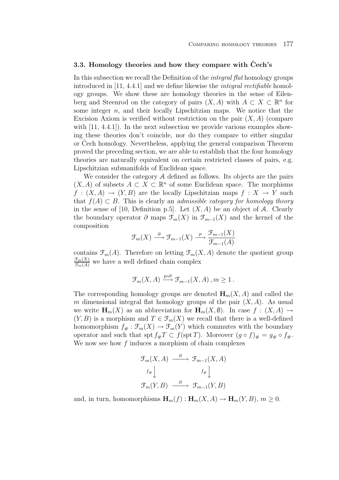## **3.3. Homology theories and how they compare with Cech's ˇ**

In this subsection we recall the Definition of the integral flat homology groups introduced in [11, 4.4.1] and we define likewise the integral rectifiable homology groups. We show these are homology theories in the sense of Eilenberg and Steenrod on the category of pairs  $(X, A)$  with  $A \subset X \subset \mathbb{R}^n$  for some integer  $n$ , and their locally Lipschitzian maps. We notice that the Excision Axiom is verified without restriction on the pair  $(X, A)$  (compare with  $[11, 4.4.1]$ . In the next subsection we provide various examples showing these theories don't coincide, nor do they compare to either singular or Cech homology. Nevertheless, applying the general comparison Theorem proved the preceding section, we are able to establish that the four homology theories are naturally equivalent on certain restricted classes of pairs, e.g. Lipschitzian submanifolds of Euclidean space.

We consider the category A defined as follows. Its objects are the pairs  $(X, A)$  of subsets  $A \subset X \subset \mathbb{R}^n$  of some Euclidean space. The morphisms  $f: (X, A) \to (Y, B)$  are the locally Lipschitzian maps  $f: X \to Y$  such that  $f(A) \subset B$ . This is clearly an *admissible category for homology theory* in the sense of [10, Definition p.5]. Let  $(X, A)$  be an object of A. Clearly the boundary operator  $\partial$  maps  $\mathcal{F}_m(X)$  in  $\mathcal{F}_{m-1}(X)$  and the kernel of the composition

$$
\mathcal{F}_m(X) \xrightarrow{\partial} \mathcal{F}_{m-1}(X) \xrightarrow{p} \frac{\mathcal{F}_{m-1}(X)}{\mathcal{F}_{m-1}(A)}
$$

contains  $\mathfrak{F}_{m}(A)$ . Therefore on letting  $\mathfrak{F}_{m}(X, A)$  denote the quotient group  $\frac{\mathcal{F}_m(X)}{\mathcal{F}_m(A)}$  we have a well defined chain complex

$$
\mathcal{F}_m(X, A) \xrightarrow{p \circ \partial} \mathcal{F}_{m-1}(X, A), m \ge 1.
$$

The corresponding homology groups are denoted  $H_m(X, A)$  and called the m dimensional integral flat homology groups of the pair  $(X, A)$ . As usual we write  $\mathbf{H}_m(X)$  as an abbreviation for  $\mathbf{H}_m(X, \emptyset)$ . In case  $f : (X, A) \to$  $(Y, B)$  is a morphism and  $T \in \mathcal{F}_m(X)$  we recall that there is a well-defined homomorphism  $f_{\#}: \mathfrak{F}_m(X) \to \mathfrak{F}_m(Y)$  which commutes with the boundary operator and such that spt  $f_{\#}T \subset f(\text{spt }T)$ . Moreover  $(g \circ f)_{\#} = g_{\#} \circ f_{\#}$ . We now see how  $f$  induces a morphism of chain complexes

$$
\mathcal{F}_m(X, A) \xrightarrow{\partial} \mathcal{F}_{m-1}(X, A)
$$

$$
f_{\#} \downarrow \qquad f_{\#} \downarrow
$$

$$
\mathcal{F}_m(Y, B) \xrightarrow{\partial} \mathcal{F}_{m-1}(Y, B)
$$

and, in turn, homomorphisms  $\mathbf{H}_m(f) : \mathbf{H}_m(X, A) \to \mathbf{H}_m(Y, B), m \geq 0.$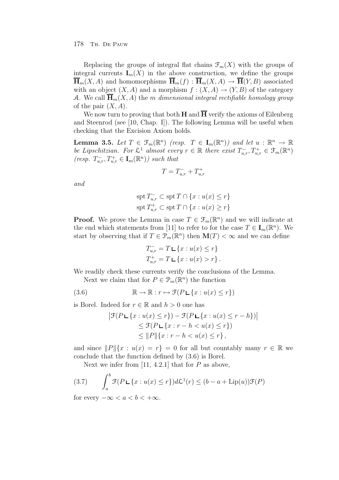Replacing the groups of integral flat chains  $\mathcal{F}_m(X)$  with the groups of integral currents  $I_m(X)$  in the above construction, we define the groups  $\overline{\mathbf{H}}_m(X, A)$  and homomorphisms  $\overline{\mathbf{H}}_m(f)$ :  $\overline{\mathbf{H}}_m(X, A) \to \overline{\mathbf{H}}(Y, B)$  associated with an object  $(X, A)$  and a morphism  $f : (X, A) \to (Y, B)$  of the category A. We call  $\overline{\mathbf{H}}_m(X, A)$  the m dimensional integral rectifiable homology group of the pair  $(X, A)$ .

We now turn to proving that both **H** and  $\overline{H}$  verify the axioms of Eilenberg and Steenrod (see [10, Chap. I]). The following Lemma will be useful when checking that the Excision Axiom holds.

**Lemma 3.5.** Let  $T \in \mathcal{F}_m(\mathbb{R}^n)$  (resp.  $T \in \mathbf{I}_m(\mathbb{R}^n)$ ) and let  $u : \mathbb{R}^n \to \mathbb{R}$ be Lipschitzian. For  $\mathcal{L}^1$  almost every  $r \in \mathbb{R}$  there exist  $T_{u,r}^-, T_{u,r}^+ \in \mathcal{F}_m(\mathbb{R}^n)$  $(resp. T_{u,r}^-, T_{u,r}^+ \in I_m(\mathbb{R}^n))$  such that

$$
T = T_{u,r}^- + T_{u,r}^+
$$

and

$$
\operatorname{spt} T_{u,r}^- \subset \operatorname{spt} T \cap \{x : u(x) \le r\}
$$
  

$$
\operatorname{spt} T_{u,r}^+ \subset \operatorname{spt} T \cap \{x : u(x) \ge r\}
$$

**Proof.** We prove the Lemma in case  $T \in \mathcal{F}_m(\mathbb{R}^n)$  and we will indicate at the end which statements from [11] to refer to for the case  $T \in I_m(\mathbb{R}^n)$ . We start by observing that if  $T \in \mathcal{P}_m(\mathbb{R}^n)$  then  $\mathbf{M}(T) < \infty$  and we can define

$$
T_{u,r}^- = T \mathbf{L} \{ x : u(x) \le r \}
$$
  

$$
T_{u,r}^+ = T \mathbf{L} \{ x : u(x) > r \}.
$$

We readily check these currents verify the conclusions of the Lemma.

Next we claim that for  $P \in \mathcal{P}_m(\mathbb{R}^n)$  the function

(3.6) 
$$
\mathbb{R} \to \mathbb{R} : r \mapsto \mathcal{F}(P \sqcup \{x : u(x) \le r\})
$$

is Borel. Indeed for  $r \in \mathbb{R}$  and  $h > 0$  one has

$$
\begin{aligned} \left| \mathcal{F}(P \sqcup \{x : u(x) \le r\}) - \mathcal{F}(P \sqcup \{x : u(x) \le r - h\}) \right| \\ &\le \mathcal{F}(P \sqcup \{x : r - h < u(x) \le r\}) \\ &\le \|P\| \{x : r - h < u(x) \le r\}, \end{aligned}
$$

and since  $||P||\{x : u(x) = r\} = 0$  for all but countably many  $r \in \mathbb{R}$  we conclude that the function defined by (3.6) is Borel.

Next we infer from [11, 4.2.1] that for  $P$  as above,

(3.7) 
$$
\int_{a}^{b} \mathcal{F}(P \sqcup \{x : u(x) \leq r\}) d\mathcal{L}^{1}(r) \leq (b - a + \text{Lip}(u)) \mathcal{F}(P)
$$

for every  $-\infty < a < b < +\infty$ .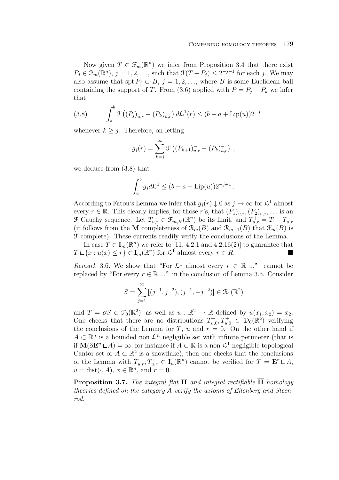Now given  $T \in \mathcal{F}_m(\mathbb{R}^n)$  we infer from Proposition 3.4 that there exist  $P_j \in \mathcal{P}_m(\mathbb{R}^n), j = 1, 2, \ldots$ , such that  $\mathcal{F}(T - P_j) \leq 2^{-j-1}$  for each j. We may also assume that spt  $P_j \subset B$ ,  $j = 1, 2, \ldots$ , where B is some Euclidean ball containing the support of T. From (3.6) applied with  $P = P_i - P_k$  we infer that

(3.8) 
$$
\int_{a}^{b} \mathcal{F}\left((P_{j})_{u,r}^{-} - (P_{k})_{u,r}^{-}\right) d\mathcal{L}^{1}(r) \leq (b - a + \text{Lip}(u))2^{-j}
$$

whenever  $k \geq j$ . Therefore, on letting

$$
g_j(r) = \sum_{k=j}^{\infty} \mathcal{F}\left((P_{k+1})_{u,r}^{\dagger} - (P_k)_{u,r}^{\dagger}\right),
$$

we deduce from (3.8) that

$$
\int_a^b g_j d\mathcal{L}^1 \le (b - a + \text{Lip}(u))2^{-j+1}.
$$

According to Fatou's Lemma we infer that  $g_i(r) \downarrow 0$  as  $j \to \infty$  for  $\mathcal{L}^1$  almost every  $r \in \mathbb{R}$ . This clearly implies, for those r's, that  $(P_1)_{u,r}^-, (P_2)_{u,r}^-$ , ... is an  $\mathcal F$  Cauchy sequence. Let  $T_{u,r}^- \in \mathcal F_{m,K}(\mathbb R^n)$  be its limit, and  $T_{u,r}^+ = T - T_{u,r}^-$ (it follows from the **M** completeness of  $\mathcal{R}_m(B)$  and  $\mathcal{R}_{m+1}(B)$  that  $\mathcal{F}_m(B)$  is F complete). These currents readily verify the conclusions of the Lemma.

In case  $T \in I_m(\mathbb{R}^n)$  we refer to [11, 4.2.1 and 4.2.16(2)] to guarantee that  $T \mathsf{L} \{x : u(x) \leq r\} \in \mathbf{I}_m(\mathbb{R}^n)$  for  $\mathcal{L}^1$  almost every  $r \in R$ .

Remark 3.6. We show that "For  $\mathcal{L}^1$  almost every  $r \in \mathbb{R}$  ..." cannot be replaced by "For every  $r \in \mathbb{R} \dots$ " in the conclusion of Lemma 3.5. Consider

$$
S = \sum_{j=1}^{\infty} [(j^{-1}, j^{-2}), (j^{-1}, -j^{-2})] \in \mathcal{R}_1(\mathbb{R}^2)
$$

and  $T = \partial S \in \mathcal{F}_0(\mathbb{R}^2)$ , as well as  $u : \mathbb{R}^2 \to \mathbb{R}$  defined by  $u(x_1, x_2) = x_2$ . One checks that there are no distributions  $T_{u,0}^-, T_{u,0}^+ \in \mathcal{D}_0(\mathbb{R}^2)$  verifying the conclusions of the Lemma for T, u and  $r = 0$ . On the other hand if  $A \subset \mathbb{R}^n$  is a bounded non  $\mathcal{L}^n$  negligible set with infinite perimeter (that is if  $\mathbf{M}(\partial \mathbf{E}^n \mathbf{L} A) = \infty$ , for instance if  $A \subset \mathbb{R}$  is a non  $\mathcal{L}^1$  negligible topological Cantor set or  $A \subset \mathbb{R}^2$  is a snowflake), then one checks that the conclusions of the Lemma with  $T_{u,r}^-$ ,  $T_{u,r}^+ \in I_n(\mathbb{R}^n)$  cannot be verified for  $T = \mathbf{E}^n \sqcup A$ ,  $u = \text{dist}(\cdot, A), x \in \mathbb{R}^n$ , and  $r = 0$ .

**Proposition 3.7.** The integral flat **H** and integral rectifiable  $\overline{H}$  homology theories defined on the category A verify the axioms of Eilenberg and Steenrod.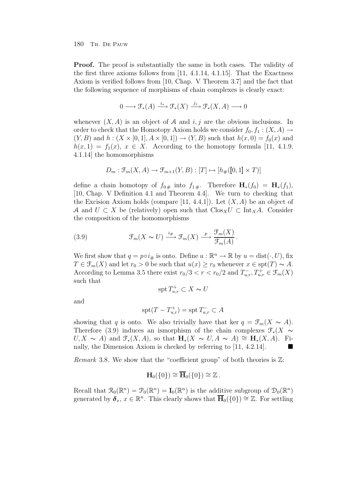**Proof.** The proof is substantially the same in both cases. The validity of the first three axioms follows from  $[11, 4.1.14, 4.1.15]$ . That the Exactness Axiom is verified follows from [10, Chap. V Theorem 3.7] and the fact that the following sequence of morphisms of chain complexes is clearly exact:

$$
0 \longrightarrow \mathcal{F}_{*}(A) \xrightarrow{i_{*}} \mathcal{F}_{*}(X) \xrightarrow{j_{*}} \mathcal{F}_{*}(X, A) \longrightarrow 0
$$

whenever  $(X, A)$  is an object of A and i, j are the obvious inclusions. In order to check that the Homotopy Axiom holds we consider  $f_0, f_1 : (X, A) \to$  $(Y, B)$  and  $h: (X \times [0, 1], A \times [0, 1]) \rightarrow (Y, B)$  such that  $h(x, 0) = f_0(x)$  and  $h(x, 1) = f_1(x), x \in X$ . According to the homotopy formula [11, 4.1.9, 4.1.14] the homomorphisms

$$
D_m: \mathcal{F}_m(X, A) \to \mathcal{F}_{m+1}(Y, B): [T] \mapsto [h_{\#}([0, 1] \times T)]
$$

define a chain homotopy of  $f_{0\#}$  into  $f_{1\#}$ . Therefore  $\mathbf{H}_*(f_0) = \mathbf{H}_*(f_1)$ , [10, Chap. V Definition 4.1 and Theorem 4.4]. We turn to checking that the Excision Axiom holds (compare [11, 4.4.1]). Let  $(X, A)$  be an object of A and  $U \subset X$  be (relatively) open such that  $C \log_X U \subset \text{Int}_X A$ . Consider the composition of the homomorphisms

(3.9) 
$$
\mathcal{F}_m(X \sim U) \xrightarrow{i_{#}} \mathcal{F}_m(X) \xrightarrow{p} \frac{\mathcal{F}_m(X)}{\mathcal{F}_m(A)}.
$$

We first show that  $q = p \circ i_{\#}$  is onto. Define  $u : \mathbb{R}^n \to \mathbb{R}$  by  $u = \text{dist}(\cdot, U)$ , fix  $T \in \mathcal{F}_m(X)$  and let  $r_0 > 0$  be such that  $u(x) \geq r_0$  whenever  $x \in \text{spt}(T) \sim A$ . According to Lemma 3.5 there exist  $r_0/3 < r < r_0/2$  and  $T_{u,r}^-, T_{u,r}^+ \in \mathcal{F}_m(X)$ such that

$$
\mathrm{spt}\, T^+_{u,r}\subset X\thicksim U
$$

and

$$
\operatorname{spt}(T - T_{u,r}^+) = \operatorname{spt} T_{u,r}^- \subset A
$$

showing that q is onto. We also trivially have that ker  $q = \mathcal{F}_m(X \sim A)$ . Therefore (3.9) induces an ismorphism of the chain complexes  $\mathcal{F}_*(X \sim$  $U, X \sim A$ ) and  $\mathcal{F}_*(X, A)$ , so that  $\mathbf{H}_*(X \sim U, A \sim A) \cong \mathbf{H}_*(X, A)$ . Finally, the Dimension Axiom is checked by referring to [11, 4.2.14].

*Remark* 3.8. We show that the "coefficient group" of both theories is  $\mathbb{Z}$ :

$$
\mathbf{H}_0(\{0\}) \cong \overline{\mathbf{H}}_0(\{0\}) \cong \mathbb{Z}.
$$

Recall that  $\mathcal{R}_0(\mathbb{R}^n) = \mathcal{P}_0(\mathbb{R}^n) = \mathbf{I}_0(\mathbb{R}^n)$  is the additive subgroup of  $\mathcal{D}_0(\mathbb{R}^n)$ generated by  $\delta_x, x \in \mathbb{R}^n$ . This clearly shows that  $H_0({0}) \cong \mathbb{Z}$ . For settling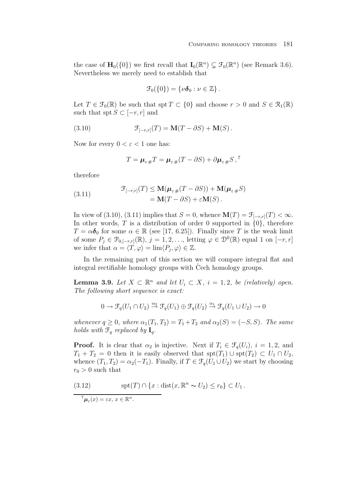the case of  $\mathbf{H}_0(\{0\})$  we first recall that  $\mathbf{I}_0(\mathbb{R}^n) \subsetneq \mathcal{F}_0(\mathbb{R}^n)$  (see Remark 3.6). Nevertheless we merely need to establish that

$$
\mathcal{F}_0(\{0\})=\{\nu\boldsymbol{\delta}_0:\nu\in\mathbb{Z}\}\,.
$$

Let  $T \in \mathcal{F}_0(\mathbb{R})$  be such that spt  $T \subset \{0\}$  and choose  $r > 0$  and  $S \in \mathcal{R}_1(\mathbb{R})$ such that spt  $S \subset [-r, r]$  and

(3.10) 
$$
\mathcal{F}_{[-r,r]}(T) = \mathbf{M}(T - \partial S) + \mathbf{M}(S).
$$

Now for every  $0 < \varepsilon < 1$  one has:

$$
T = \mu_{\varepsilon}{}_{\#}T = \mu_{\varepsilon}{}_{\#}(T - \partial S) + \partial \mu_{\varepsilon}{}_{\#}S
$$

therefore

(3.11) 
$$
\mathcal{F}_{[-r,r]}(T) \leq \mathbf{M}(\boldsymbol{\mu}_{\varepsilon\#}(T-\partial S)) + \mathbf{M}(\boldsymbol{\mu}_{\varepsilon\#}S) \n= \mathbf{M}(T-\partial S) + \varepsilon \mathbf{M}(S).
$$

In view of (3.10), (3.11) implies that  $S = 0$ , whence  $\mathbf{M}(T) = \mathcal{F}_{[-r,r]}(T) < \infty$ . In other words,  $T$  is a distribution of order 0 supported in  $\{0\}$ , therefore  $T = \alpha \delta_0$  for some  $\alpha \in \mathbb{R}$  (see [17, 6.25]). Finally since T is the weak limit of some  $P_j \in \mathcal{P}_{0,[-r,r]}(\mathbb{R}), j = 1, 2, \ldots$ , letting  $\varphi \in \mathcal{D}^0(\mathbb{R})$  equal 1 on  $[-r, r]$ we infer that  $\alpha = \langle T, \varphi \rangle = \lim \langle P_i, \varphi \rangle \in \mathbb{Z}$ .

In the remaining part of this section we will compare integral flat and integral rectifiable homology groups with Cech homology groups.

**Lemma 3.9.** Let  $X \subset \mathbb{R}^n$  and let  $U_i \subset X$ ,  $i = 1, 2$ , be (relatively) open. The following short sequence is exact:

$$
0 \to \mathcal{F}_q(U_1 \cap U_2) \xrightarrow{\alpha_2} \mathcal{F}_q(U_1) \oplus \mathcal{F}_q(U_2) \xrightarrow{\alpha_1} \mathcal{F}_q(U_1 \cup U_2) \to 0
$$

whenever  $q \geq 0$ , where  $\alpha_1(T_1, T_2) = T_1 + T_2$  and  $\alpha_2(S) = (-S, S)$ . The same holds with  $\mathcal{F}_q$  replaced by  $\mathbf{I}_q$ .

**Proof.** It is clear that  $\alpha_2$  is injective. Next if  $T_i \in \mathcal{F}_q(U_i)$ ,  $i = 1, 2$ , and  $T_1 + T_2 = 0$  then it is easily observed that  $\text{spt}(T_1) \cup \text{spt}(T_2) \subset U_1 \cap U_2$ , whence  $(T_1, T_2) = \alpha_2(-T_1)$ . Finally, if  $T \in \mathcal{F}_q(U_1 \cup U_2)$  we start by choosing  $r_0 > 0$  such that

(3.12) 
$$
\mathrm{spt}(T) \cap \{x : \mathrm{dist}(x, \mathbb{R}^n \sim U_2) \le r_0\} \subset U_1.
$$

 $^{7}\mu_{\varepsilon}(x) = \varepsilon x, x \in \mathbb{R}^{n}$ .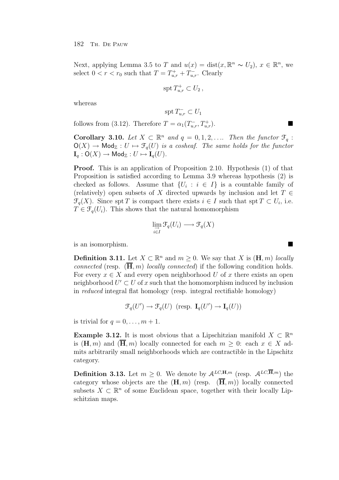Next, applying Lemma 3.5 to T and  $u(x) = \text{dist}(x, \mathbb{R}^n \sim U_2)$ ,  $x \in \mathbb{R}^n$ , we select  $0 < r < r_0$  such that  $T = T_{u,r}^+ + T_{u,r}^-$ . Clearly

$$
\operatorname{spt} T_{u,r}^+ \subset U_2 \,,
$$

whereas

$$
\operatorname{spt} T_{u,r}^- \subset U_1
$$

follows from (3.12). Therefore  $T = \alpha_1(T_{u,r}^-, T_{u,r}^+).$ 

**Corollary 3.10.** Let  $X \subset \mathbb{R}^n$  and  $q = 0, 1, 2, \ldots$  Then the functor  $\mathcal{F}_q$ :  $\mathsf{O}(X) \to \mathsf{Mod}_{\mathbb{Z}} : U \mapsto \mathcal{F}_q(U)$  is a cosheaf. The same holds for the functor  $\mathbf{I}_q : \mathsf{O}(X) \to \mathsf{Mod}_{\mathbb{Z}} : U \mapsto \mathbf{I}_q(U).$ 

**Proof.** This is an application of Proposition 2.10. Hypothesis (1) of that Proposition is satisfied according to Lemma 3.9 whereas hypothesis (2) is checked as follows. Assume that  $\{U_i : i \in I\}$  is a countable family of (relatively) open subsets of X directed upwards by inclusion and let  $T \in$  $\mathcal{F}_q(X)$ . Since spt T is compact there exists  $i \in I$  such that spt  $T \subset U_i$ , i.e.  $T \in \mathcal{F}_q(U_i)$ . This shows that the natural homomorphism

$$
\lim_{\substack{\to \\ i \in I}} \mathcal{F}_q(U_i) \longrightarrow \mathcal{F}_q(X)
$$

is an isomorphism.

**Definition 3.11.** Let *X* ⊂  $\mathbb{R}^n$  and  $m \ge 0$ . We say that *X* is  $(\mathbf{H}, m)$  *locally connected* (resp.  $(\overline{H}, m)$  *locally connected*) if the following condition holds. For every  $x \in X$  and every open neighborhood U of x there exists an open neighborhood  $U' \subset U$  of x such that the homomorphism induced by inclusion in reduced integral flat homology (resp. integral rectifiable homology)

 $\mathcal{F}_q(U') \to \mathcal{F}_q(U)$  (resp.  $\mathbf{I}_q(U') \to \mathbf{I}_q(U)$ )

is trivial for  $q = 0, \ldots, m + 1$ .

**Example 3.12.** It is most obvious that a Lipschitzian manifold  $X \subset \mathbb{R}^n$ is  $(\mathbf{H}, m)$  and  $(\overline{\mathbf{H}}, m)$  locally connected for each  $m > 0$ : each  $x \in X$  admits arbitrarily small neighborhoods which are contractible in the Lipschitz category.

**Definition 3.13.** Let  $m \geq 0$ . We denote by  $A^{LC,\mathbf{H},m}$  (resp.  $A^{LC,\overline{\mathbf{H}},m}$ ) the category whose objects are the  $(\mathbf{H}, m)$  (resp.  $(\overline{\mathbf{H}}, m)$ ) locally connected subsets  $X \subset \mathbb{R}^n$  of some Euclidean space, together with their locally Lipschitzian maps.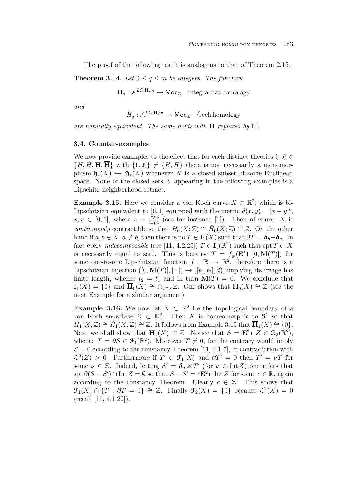The proof of the following result is analogous to that of Theorem 2.15.

**Theorem 3.14.** Let  $0 \le q \le m$  be integers. The functors

 $\mathbf{H}_q : \mathcal{A}^{LC,\mathbf{H},m} \to \mathsf{Mod}_{\mathbb{Z}}$  integral flat homology

and

 $\check{H}_a: \mathcal{A}^{LC,\mathbf{H},m} \to \mathsf{Mod}_{\mathbb{Z}}$  Čech homology

are naturally equivalent. The same holds with **H** replaced by  $\overline{H}$ .

### **3.4. Counter-examples**

We now provide examples to the effect that for each distinct theories  $\mathfrak{h}, \mathfrak{H} \in$  $\{H, \tilde{H}, \mathbf{H}, \overline{\mathbf{H}}\}$  with  $\{\mathfrak{h}, \tilde{\mathfrak{H}}\} \neq \{H, \tilde{H}\}\$  there is not necessarily a monomorphism  $\mathfrak{h}_*(X) \hookrightarrow \mathfrak{H}_*(X)$  whenever X is a closed subset of some Euclidean space. None of the closed sets  $X$  appearing in the following examples is a Lipschitz neighborhood retract.

**Example 3.15.** Here we consider a von Koch curve  $X \subset \mathbb{R}^2$ , which is bi-Lipschitzian equivalent to [0, 1] equipped with the metric  $d(x, y) = |x - y|^s$ ,  $x, y \in [0, 1]$ , where  $s = \frac{\log 3}{\log 4}$  (see for instance [1]). Then of course X is *continuously* contractible so that  $H_0(X; \mathbb{Z}) \cong H_0(X; \mathbb{Z}) \cong \mathbb{Z}$ . On the other hand if  $a, b \in X$ ,  $a \neq b$ , then there is no  $T \in I_1(X)$  such that  $\partial T = \delta_b - \delta_a$ . In fact every *indecomposable* (see [11, 4.2.25])  $T \in I_1(\mathbb{R}^2)$  such that spt  $T \subset X$ is necessarily equal to zero. This is because  $T = f_{\#}(\mathbf{E}^1 \mathbf{L}[0, \mathbf{M}(T)])$  for some one-to-one Lipschitzian function  $f : \mathbb{R} \to \mathbb{R}^2$ , therefore there is a Lipschitzian bijection  $([0, \mathbf{M}(T)], |\cdot|) \rightarrow ([t_1, t_2], d)$ , implying its image has finite length, whence  $t_2 = t_1$  and in turn  $\mathbf{M}(T) = 0$ . We conclude that **I**<sub>1</sub>(X) = {0} and  $\overline{\mathbf{H}}_0(X) \cong \bigoplus_{x \in X} \mathbb{Z}$ . One shows that  $\mathbf{H}_0(X) \cong \mathbb{Z}$  (see the next Example for a similar argument).

**Example 3.16.** We now let  $X \subset \mathbb{R}^2$  be the topological boundary of a von Koch snowflake  $Z \subset \mathbb{R}^2$ . Then X is homeomorphic to  $S^1$  so that  $H_1(X;\mathbb{Z}) \cong \check{H}_1(X;\mathbb{Z}) \cong \mathbb{Z}$ . It follows from Example 3.15 that  $\overline{\mathbf{H}}_1(X) \cong \{0\}.$ Next we shall show that **H**<sub>1</sub>(X) ≅ Z. Notice that  $S = \mathbf{E}^2 \sqcup Z \in \mathcal{R}_2(\mathbb{R}^2)$ , whence  $T = \partial S \in \mathcal{F}_1(\mathbb{R}^2)$ . Moreover  $T \neq 0$ , for the contrary would imply  $S = 0$  according to the constancy Theorem [11, 4.1.7], in contradiction with  $\mathcal{L}^2(Z) > 0$ . Furthermore if  $T' \in \mathcal{F}_1(X)$  and  $\partial T' = 0$  then  $T' = \nu T$  for some  $\nu \in \mathbb{Z}$ . Indeed, letting  $S' = \delta_a \times T'$  (for  $a \in \text{Int } Z$ ) one infers that spt  $\partial(S - S') \cap \text{Int } Z = \emptyset$  so that  $S - S' = cE^2 \sqcup \text{Int } Z$  for some  $c \in \mathbb{R}$ , again according to the constancy Theorem. Clearly  $c \in \mathbb{Z}$ . This shows that  $\mathfrak{F}_1(X) \cap \{T : \partial T = 0\} \cong \mathbb{Z}$ . Finally  $\mathfrak{F}_2(X) = \{0\}$  because  $\mathcal{L}^2(X) = 0$  $(\text{recall } [11, 4.1.20]).$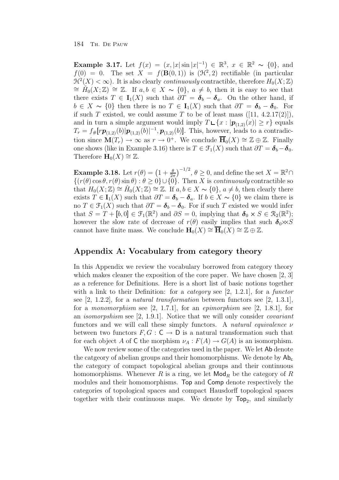**Example 3.17.** Let  $f(x) = (x, |x| \sin |x|^{-1}) \in \mathbb{R}^3$ ,  $x \in \mathbb{R}^2 \sim \{0\}$ , and  $f(0) = 0$ . The set  $X = f(\mathbf{B}(0, 1))$  is  $(\mathcal{H}^2, 2)$  rectifiable (in particular  $\mathcal{H}^2(X) < \infty$ ). It is also clearly *continuously* contractible, therefore  $H_0(X; \mathbb{Z}) \cong \tilde{H}_0(X; \mathbb{Z}) \cong \mathbb{Z}$ . If  $a, b \in X \sim \{0\}$ ,  $a \neq b$ , then it is easy to see that there exists  $T \in I_1(X)$  such that  $\partial T = \delta_b - \delta_a$ . On the other hand, if  $b \in X \sim \{0\}$  then there is no  $T \in I_1(X)$  such that  $\partial T = \delta_b - \delta_0$ . For if such T existed, we could assume T to be of least mass  $([11, 4.2.17(2)]),$ and in turn a simple argument would imply  $T \cup \{x : |\boldsymbol{p}_{(1,2)}(x)| \geq r\}$  equals  $T_r = f_{\#}[r\bm{p}_{(1,2)}(b)|\bm{p}_{(1,2)}(b)|^{-1}, \bm{p}_{(1,2)}(b)].$  This, however, leads to a contradiction since  $\mathbf{M}(T_r) \to \infty$  as  $r \to 0^+$ . We conclude  $\overline{\mathbf{H}}_0(X) \cong \mathbb{Z} \oplus \mathbb{Z}$ . Finally one shows (like in Example 3.16) there is  $T \in \mathcal{F}_1(X)$  such that  $\partial T = \delta_b - \delta_0$ . Therefore  $H_0(X) \cong \mathbb{Z}$ .

**Example 3.18.** Let  $r(\theta) = \left(1 + \frac{\theta}{2\pi}\right)^{-1/2}, \theta \ge 0$ , and define the set  $X = \mathbb{R}^2 \cap$  $\{(r(\theta)\cos\theta, r(\theta)\sin\theta): \theta \geq 0\} \cup \{0\}.$  Then X is continuously contractible so that  $H_0(X;\mathbb{Z}) \cong H_0(X;\mathbb{Z}) \cong \mathbb{Z}$ . If  $a, b \in X \sim \{0\}$ ,  $a \neq b$ , then clearly there exists  $T \in I_1(X)$  such that  $\partial T = \delta_b - \delta_a$ . If  $b \in X \sim \{0\}$  we claim there is no  $T \in \mathfrak{F}_1(X)$  such that  $\partial T = \delta_b - \delta_0$ . For if such T existed we would infer that  $S = T + [b, 0] \in \mathcal{F}_1(\mathbb{R}^2)$  and  $\partial S = 0$ , implying that  $\delta_0 \times S \in \mathcal{R}_2(\mathbb{R}^2)$ ; however the slow rate of decrease of  $r(\theta)$  easily implies that such  $\delta_0 \times S$ cannot have finite mass. We conclude  $H_0(X) \cong \overline{H}_0(X) \cong \mathbb{Z} \oplus \mathbb{Z}$ .

# **Appendix A: Vocabulary from category theory**

In this Appendix we review the vocabulary borrowed from category theory which makes cleaner the exposition of the core paper. We have chosen [2, 3] as a reference for Definitions. Here is a short list of basic notions together with a link to their Definition: for a *category* see  $[2, 1.2.1]$ , for a *functor* see  $[2, 1.2.2]$ , for a *natural transformation* between functors see  $[2, 1.3.1]$ , for a monomorphism see  $[2, 1.7.1]$ , for an *epimorphism* see  $[2, 1.8.1]$ , for an isomorpshism see [2, 1.9.1]. Notice that we will only consider covariant functors and we will call these simply functors. A *natural equivalence*  $\nu$ between two functors  $F, G : \mathsf{C} \to \mathsf{D}$  is a natural transformation such that for each object A of C the morphism  $\nu_A : F(A) \to G(A)$  is an isomorphism.

We now review some of the categories used in the paper. We let  $\mathsf{Ab}\xspace$  denote the catgeory of abelian groups and their homomorphisms. We denote by  $Ab_c$ the category of compact topological abelian groups and their continuous homomorphisms. Whenever R is a ring, we let  $\mathsf{Mod}_R$  be the category of R modules and their homomorphisms. Top and Comp denote respectively the categories of topological spaces and compact Hausdorff topological spaces together with their continuous maps. We denote by  $\text{Top}_2$ , and similarly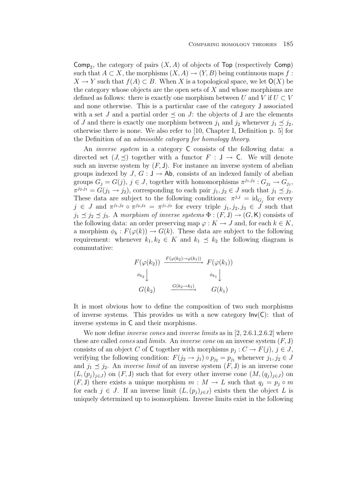Comp<sub>2</sub>, the category of pairs  $(X, A)$  of objects of Top (respectively Comp) such that  $A \subset X$ , the morphisms  $(X, A) \to (Y, B)$  being continuous maps f:  $X \to Y$  such that  $f(A) \subset B$ . When X is a topological space, we let  $O(X)$  be the category whose objects are the open sets of  $X$  and whose morphisms are defined as follows: there is exactly one morphism between U and V if  $U \subset V$ and none otherwise. This is a particular case of the category J associated with a set J and a partial order  $\preceq$  on J: the objects of J are the elements of J and there is exactly one morphism between  $j_1$  and  $j_2$  whenever  $j_1 \prec j_2$ , otherwise there is none. We also refer to [10, Chapter I, Definition p. 5] for the Definition of an admissible category for homology theory.

An *inverse system* in a category C consists of the following data: a directed set  $(J, \preceq)$  together with a functor  $F : J \to C$ . We will denote such an inverse system by  $(F, J)$ . For instance an inverse system of abelian groups indexed by  $J, G : J \to Ab$ , consists of an indexed family of abelian groups  $G_j = G(j)$ ,  $j \in J$ , together with homomorphisms  $\pi^{j_1, j_2} : G_{j_2} \to G_{j_1}$ ,  $\pi^{j_2,j_1} = G(j_1 \to j_2)$ , corresponding to each pair  $j_1, j_2 \in J$  such that  $j_1 \preceq j_2$ . These data are subject to the following conditions:  $\pi^{j,j} = \mathrm{id}_{G_j}$  for every  $j \in J$  and  $\pi^{j_1, j_2} \circ \pi^{j_2, j_3} = \pi^{j_1, j_3}$  for every triple  $j_1, j_2, j_3 \in J$  such that  $j_1 \prec j_2 \prec j_3$ . A morphism of inverse systems  $\Phi : (F, J) \rightarrow (G, K)$  consists of the following data: an order preserving map  $\varphi: K \to J$  and, for each  $k \in K$ , a morphism  $\phi_k : F(\varphi(k)) \to G(k)$ . These data are subject to the following requirement: whenever  $k_1, k_2 \in K$  and  $k_1 \preceq k_2$  the following diagram is commutative:

$$
F(\varphi(k_2)) \xrightarrow{F(\varphi(k_2)\to\varphi(k_1))} F(\varphi(k_1))
$$
  
\n
$$
\phi_{k_2} \downarrow \qquad \phi_{k_1} \downarrow
$$
  
\n
$$
G(k_2) \xrightarrow{G(k_2 \to k_1)} G(k_1)
$$

It is most obvious how to define the composition of two such morphisms of inverse systems. This provides us with a new category  $Inv(C)$ : that of inverse systems in C and their morphisms.

We now define *inverse cones* and *inverse limits* as in  $[2, 2.6.1, 2.6.2]$  where these are called *cones* and *limits*. An *inverse cone* on an inverse system  $(F, J)$ consists of an object C of C together with morphisms  $p_j : C \to F(j)$ ,  $j \in J$ , verifying the following condition:  $F(j_2 \rightarrow j_1) \circ p_{j_2} = p_{j_1}$  whenever  $j_1, j_2 \in J$ and  $j_1 \preceq j_2$ . An *inverse limit* of an inverse system  $(F, J)$  is an inverse cone  $(L,(p_i)_{i\in J})$  on  $(F, J)$  such that for every other inverse cone  $(M,(q_i)_{i\in J})$  on  $(F, J)$  there exists a unique morphism  $m : M \to L$  such that  $q_j = p_j \circ m$ for each  $j \in J$ . If an inverse limit  $(L,(p_i)_{i\in J})$  exists then the object L is uniquely determined up to isomorphism. Inverse limits exist in the following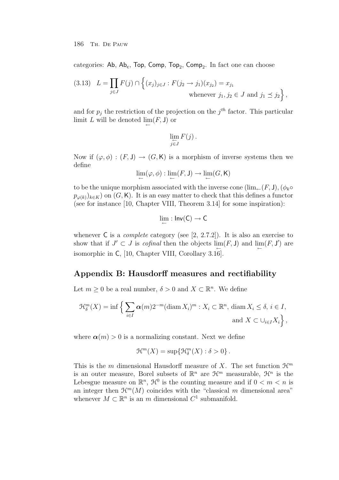categories: Ab,  $Ab_c$ , Top, Comp, Top<sub>2</sub>, Comp<sub>2</sub>. In fact one can choose

$$
(3.13) \quad L = \prod_{j \in J} F(j) \cap \left\{ (x_j)_{j \in J} : F(j_2 \to j_1)(x_{j_2}) = x_{j_1} \text{ whenever } j_1, j_2 \in J \text{ and } j_1 \le j_2 \right\},\
$$

and for  $p_j$  the restriction of the projection on the  $j^{th}$  factor. This particular limit L will be denoted  $\lim(F, \mathsf{J})$  or

$$
\lim_{j\in J} F(j)\,.
$$

Now if  $(\varphi, \phi) : (F, J) \to (G, K)$  is a morphism of inverse systems then we define

$$
\lim_{\leftarrow} (\varphi,\phi) : \lim_{\leftarrow} (F,\mathsf{J}) \to \lim_{\leftarrow} (G,\mathsf{K})
$$

to be the unique morphism associated with the inverse cone  $(\lim_{\leftarrow}(F, J), (\phi_k \circ$  $p_{\varphi(k)})_{k\in K}$  on  $(G, K)$ . It is an easy matter to check that this defines a functor (see for instance [10, Chapter VIII, Theorem 3.14] for some inspiration):

$$
\lim_{\leftarrow} : Inv(C) \rightarrow C
$$

whenever  $\mathsf C$  is a *complete* category (see [2, 2.7.2]). It is also an exercise to show that if  $J' \subset J$  is *cofinal* then the objects  $\lim_{\leftarrow}(F, \mathsf{J})$  and  $\lim_{\leftarrow}(F, \mathsf{J}')$  are isomorphic in C, [10, Chapter VIII, Corollary 3.16].

# **Appendix B: Hausdorff measures and rectifiability**

Let  $m \geq 0$  be a real number,  $\delta > 0$  and  $X \subset \mathbb{R}^n$ . We define

$$
\mathcal{H}_{\delta}^{m}(X) = \inf \left\{ \sum_{i \in I} \alpha(m) 2^{-m} (\operatorname{diam} X_{i})^{m} : X_{i} \subset \mathbb{R}^{n}, \operatorname{diam} X_{i} \leq \delta, i \in I, \atop \text{and } X \subset \bigcup_{i \in I} X_{i} \right\},\right\}
$$

where  $\alpha(m) > 0$  is a normalizing constant. Next we define

$$
\mathfrak{H}^m(X) = \sup \{ \mathfrak{H}^m_\delta(X) : \delta > 0 \} .
$$

This is the m dimensional Hausdorff measure of X. The set function  $\mathcal{H}^m$ is an outer measure, Borel subsets of  $\mathbb{R}^n$  are  $\mathcal{H}^m$  measurable,  $\mathcal{H}^n$  is the Lebesgue measure on  $\mathbb{R}^n$ ,  $\mathcal{H}^0$  is the counting measure and if  $0 < m < n$  is an integer then  $\mathcal{H}^m(M)$  coincides with the "classical m dimensional area" whenever  $M \subset \mathbb{R}^n$  is an m dimensional  $C^1$  submanifold.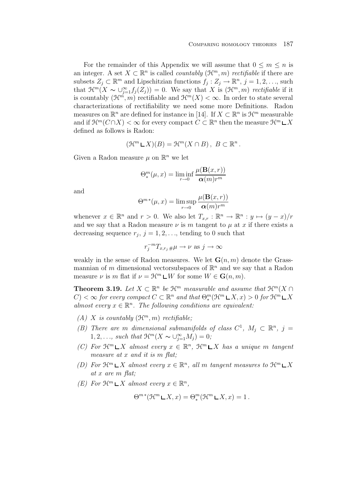For the remainder of this Appendix we will assume that  $0 \leq m \leq n$  is an integer. A set  $X \subset \mathbb{R}^n$  is called *countably*  $(\mathcal{H}^m, m)$  *rectifiable* if there are subsets  $Z_j \subset \mathbb{R}^m$  and Lipschitzian functions  $f_j : Z_j \to \mathbb{R}^n$ ,  $j = 1, 2, \ldots$ , such that  $\mathfrak{H}^m(X \sim \bigcup_{j=1}^{\infty} f_j(Z_j)) = 0$ . We say that X is  $(\mathfrak{H}^m, m)$  rectifiable if it is countably  $(\mathcal{H}^m, m)$  rectifiable and  $\mathcal{H}^m(X) < \infty$ . In order to state several characterizations of rectifiability we need some more Definitions. Radon measures on  $\mathbb{R}^n$  are defined for instance in [14]. If  $X \subset \mathbb{R}^n$  is  $\mathcal{H}^m$  measurable and if  $\mathcal{H}^m(C \cap X) < \infty$  for every compact  $C \subset \mathbb{R}^n$  then the measure  $\mathcal{H}^m \rvert X$ defined as follows is Radon:

$$
(\mathfrak{H}^m \mathop{\mathsf{L}} X)(B) = \mathfrak{H}^m(X \cap B), \ B \subset \mathbb{R}^n.
$$

Given a Radon measure  $\mu$  on  $\mathbb{R}^n$  we let

$$
\Theta_*^m(\mu, x) = \liminf_{r \to 0} \frac{\mu(\mathbf{B}(x, r))}{\alpha(m)r^m}
$$

and

$$
\Theta^{m*}(\mu, x) = \limsup_{r \to 0} \frac{\mu(\mathbf{B}(x, r))}{\alpha(m)r^m}
$$

whenever  $x \in \mathbb{R}^n$  and  $r > 0$ . We also let  $T_{x,r} : \mathbb{R}^n \to \mathbb{R}^n : y \mapsto (y-x)/r$ and we say that a Radon measure  $\nu$  is m tangent to  $\mu$  at x if there exists a decreasing sequence  $r_j$ ,  $j = 1, 2, \ldots$ , tending to 0 such that

$$
r_j^{-m}T_{x,r_j\,\#\mu} \to \nu \text{ as } j \to \infty
$$

weakly in the sense of Radon measures. We let  $\mathbf{G}(n, m)$  denote the Grassmannian of m dimensional vectorsubspaces of  $\mathbb{R}^n$  and we say that a Radon measure  $\nu$  is m flat if  $\nu = \mathcal{H}^m \mathsf{L} W$  for some  $W \in \mathbf{G}(n, m)$ .

**Theorem 3.19.** Let  $X \subset \mathbb{R}^n$  be  $\mathcal{H}^m$  measurable and assume that  $\mathcal{H}^m(X \cap$  $(C) < \infty$  for every compact  $C \subset \mathbb{R}^n$  and that  $\Theta_*^m(\mathcal{H}^m \sqcup X, x) > 0$  for  $\mathcal{H}^m \sqcup X$ almost every  $x \in \mathbb{R}^n$ . The following conditions are equivalent:

- (A) X is countably  $(\mathcal{H}^m, m)$  rectifiable;
- (B) There are m dimensional submanifolds of class  $C^1$ ,  $M_i \subset \mathbb{R}^n$ ,  $j =$  $1, 2, \ldots$ , such that  $\mathfrak{H}^m(X \sim \bigcup_{j=1}^{\infty} M_j) = 0;$
- (C) For  $\mathcal{H}^m \sqcup X$  almost every  $x \in \mathbb{R}^n$ ,  $\mathcal{H}^m \sqcup X$  has a unique m tangent measure at x and it is m flat;
- (D) For  $\mathcal{H}^m \sqcup X$  almost every  $x \in \mathbb{R}^n$ , all m tangent measures to  $\mathcal{H}^m \sqcup X$ at x are m flat;
- (E) For  $\mathcal{H}^m \mathop{\rule[1pt]{.5pt}{6pt}\rule[1pt]{4pt}{0.5pt}} X$  almost every  $x \in \mathbb{R}^n$ ,

$$
\Theta^{m*}(\mathcal{H}^m \mathop{\mathsf{L}} X, x) = \Theta^m_*(\mathcal{H}^m \mathop{\mathsf{L}} X, x) = 1.
$$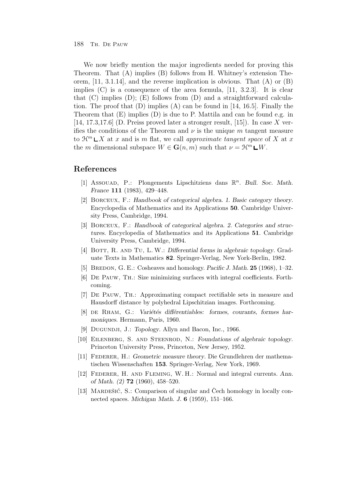We now briefly mention the major ingredients needed for proving this Theorem. That (A) implies (B) follows from H. Whitney's extension Theorem,  $[11, 3.1.14]$ , and the reverse implication is obvious. That  $(A)$  or  $(B)$ implies  $(C)$  is a consequence of the area formula,  $[11, 3.2.3]$ . It is clear that  $(C)$  implies  $(D)$ ;  $(E)$  follows from  $(D)$  and a straightforward calculation. The proof that  $(D)$  implies  $(A)$  can be found in [14, 16.5]. Finally the Theorem that  $(E)$  implies  $(D)$  is due to P. Mattila and can be found e.g. in [14, 17.3,17.6] (D. Preiss proved later a stronger result, [15]). In case X verifies the conditions of the Theorem and  $\nu$  is the unique m tangent measure to  $\mathcal{H}^m \sqcup X$  at x and is m flat, we call approximate tangent space of X at x the m dimensional subspace  $W \in \mathbf{G}(n,m)$  such that  $\nu = \mathcal{H}^m \mathbf{L} W$ .

# **References**

- [1] Assouad, P.: Plongements Lipschitziens dans  $\mathbb{R}^n$ . *Bull. Soc. Math. France* **111** (1983), 429–448.
- [2] Borceux, F.: *Handbook of categorical algebra. 1. Basic category theory*. Encyclopedia of Mathematics and its Applications **50**. Cambridge University Press, Cambridge, 1994.
- [3] Borceux, F.: *Handbook of categorical algebra. 2. Categories and structures*. Encyclopedia of Mathematics and its Applications **51**. Cambridge University Press, Cambridge, 1994.
- [4] Bott, R. and Tu, L. W.: *Differential forms in algebraic topology*. Graduate Texts in Mathematics **82**. Springer-Verlag, New York-Berlin, 1982.
- [5] BREDON, G. E.: Cosheaves and homology. *Pacific J. Math.* **25** (1968), 1–32.
- [6] De Pauw, Th.: Size minimizing surfaces with integral coefficients. Forthcoming.
- [7] De Pauw, Th.: Approximating compact rectifiable sets in measure and Hausdorff distance by polyhedral Lipschitzian images. Forthcoming.
- [8] DE RHAM, G.: *Variétés différentiables: formes, courants, formes harmoniques*. Hermann, Paris, 1960.
- [9] Dugundji, J.: *Topology*. Allyn and Bacon, Inc., 1966.
- [10] Eilenberg, S. and Steenrod, N.: *Foundations of algebraic topology*. Princeton University Press, Princeton, New Jersey, 1952.
- [11] Federer, H.: *Geometric measure theory*. Die Grundlehren der mathematischen Wissenschaften **153**. Springer-Verlag, New York, 1969.
- [12] Federer, H. and Fleming, W. H.: Normal and integral currents. *Ann. of Math. (2)* **72** (1960), 458–520.
- [13] MARDEŠIĆ, S.: Comparison of singular and Čech homology in locally connected spaces. *Michigan Math. J.* **6** (1959), 151–166.